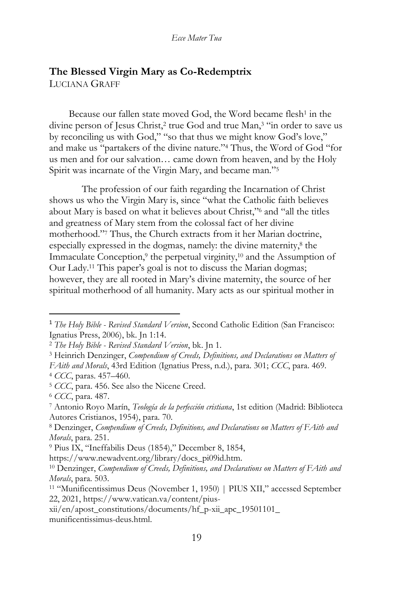# **The Blessed Virgin Mary as Co-Redemptrix** LUCIANA GRAFF

Because our fallen state moved God, the Word became flesh<sup>1</sup> in the divine person of Jesus Christ,<sup>2</sup> true God and true Man,<sup>3</sup> "in order to save us by reconciling us with God," "so that thus we might know God's love," and make us "partakers of the divine nature."<sup>4</sup> Thus, the Word of God "for us men and for our salvation… came down from heaven, and by the Holy Spirit was incarnate of the Virgin Mary, and became man."<sup>5</sup>

The profession of our faith regarding the Incarnation of Christ shows us who the Virgin Mary is, since "what the Catholic faith believes about Mary is based on what it believes about Christ,"<sup>6</sup> and "all the titles and greatness of Mary stem from the colossal fact of her divine motherhood."<sup>7</sup> Thus, the Church extracts from it her Marian doctrine, especially expressed in the dogmas, namely: the divine maternity,<sup>8</sup> the Immaculate Conception,<sup>9</sup> the perpetual virginity,<sup>10</sup> and the Assumption of Our Lady.<sup>11</sup> This paper's goal is not to discuss the Marian dogmas; however, they are all rooted in Mary's divine maternity, the source of her spiritual motherhood of all humanity. Mary acts as our spiritual mother in

<sup>1</sup> *The Holy Bible - Revised Standard Version*, Second Catholic Edition (San Francisco: Ignatius Press, 2006), bk. Jn 1:14.

<sup>2</sup> *The Holy Bible - Revised Standard Version*, bk. Jn 1.

<sup>3</sup> Heinrich Denzinger, *Compendium of Creeds, Definitions, and Declarations on Matters of FAith and Morals*, 43rd Edition (Ignatius Press, n.d.), para. 301; *CCC*, para. 469. <sup>4</sup> *CCC*, paras. 457–460.

<sup>5</sup> *CCC*, para. 456. See also the Nicene Creed.

<sup>6</sup> *CCC*, para. 487.

<sup>7</sup> Antonio Royo Marín, *Teología de la perfección cristiana*, 1st edition (Madrid: Biblioteca Autores Cristianos, 1954), para. 70.

<sup>8</sup> Denzinger, *Compendium of Creeds, Definitions, and Declarations on Matters of FAith and Morals*, para. 251.

<sup>9</sup> Pius IX, "Ineffabilis Deus (1854)," December 8, 1854,

https://www.newadvent.org/library/docs\_pi09id.htm.

<sup>10</sup> Denzinger, *Compendium of Creeds, Definitions, and Declarations on Matters of FAith and Morals*, para. 503.

<sup>11</sup> "Munificentissimus Deus (November 1, 1950) | PIUS XII," accessed September 22, 2021, https://www.vatican.va/content/pius-

xii/en/apost\_constitutions/documents/hf\_p-xii\_apc\_19501101\_ munificentissimus-deus.html.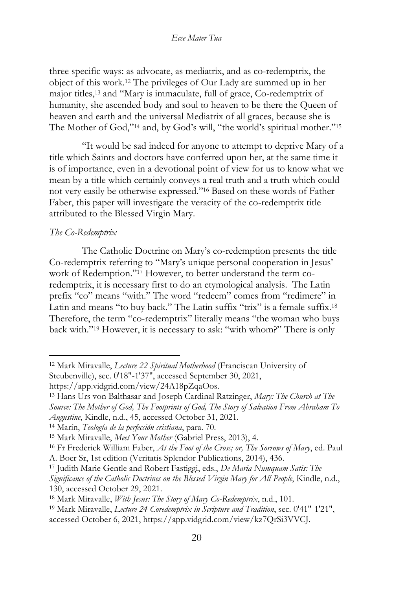three specific ways: as advocate, as mediatrix, and as co-redemptrix, the object of this work.<sup>12</sup> The privileges of Our Lady are summed up in her major titles,<sup>13</sup> and "Mary is immaculate, full of grace, Co-redemptrix of humanity, she ascended body and soul to heaven to be there the Queen of heaven and earth and the universal Mediatrix of all graces, because she is The Mother of God,"<sup>14</sup> and, by God's will, "the world's spiritual mother."<sup>15</sup>

"It would be sad indeed for anyone to attempt to deprive Mary of a title which Saints and doctors have conferred upon her, at the same time it is of importance, even in a devotional point of view for us to know what we mean by a title which certainly conveys a real truth and a truth which could not very easily be otherwise expressed."<sup>16</sup> Based on these words of Father Faber, this paper will investigate the veracity of the co-redemptrix title attributed to the Blessed Virgin Mary.

## *The Co-Redemptrix*

The Catholic Doctrine on Mary's co-redemption presents the title Co-redemptrix referring to "Mary's unique personal cooperation in Jesus' work of Redemption."<sup>17</sup> However, to better understand the term coredemptrix, it is necessary first to do an etymological analysis. The Latin prefix "co" means "with." The word "redeem" comes from "redimere" in Latin and means "to buy back." The Latin suffix "trix" is a female suffix.<sup>18</sup> Therefore, the term "co-redemptrix" literally means "the woman who buys back with."<sup>19</sup> However, it is necessary to ask: "with whom?" There is only

<sup>12</sup> Mark Miravalle, *Lecture 22 Spiritual Motherhood* (Franciscan University of Steubenville), sec. 0'18"-1'37", accessed September 30, 2021,

https://app.vidgrid.com/view/24A18pZqaOos.

<sup>13</sup> Hans Urs von Balthasar and Joseph Cardinal Ratzinger, *Mary: The Church at The Source: The Mother of God, The Footprints of God, The Story of Salvation From Abraham To Augustine*, Kindle, n.d., 45, accessed October 31, 2021.

<sup>14</sup> Marín, *Teología de la perfección cristiana*, para. 70.

<sup>15</sup> Mark Miravalle, *Meet Your Mother* (Gabriel Press, 2013), 4.

<sup>16</sup> Fr Frederick William Faber, *At the Foot of the Cross; or, The Sorrows of Mary*, ed. Paul A. Boer Sr, 1st edition (Veritatis Splendor Publications, 2014), 436.

<sup>17</sup> Judith Marie Gentle and Robert Fastiggi, eds., *De Maria Numquam Satis: The Significance of the Catholic Doctrines on the Blessed Virgin Mary for All People*, Kindle, n.d., 130, accessed October 29, 2021.

<sup>18</sup> Mark Miravalle, *With Jesus: The Story of Mary Co-Redemptrix*, n.d., 101.

<sup>19</sup> Mark Miravalle, *Lecture 24 Coredemptrix in Scripture and Tradition*, sec. 0'41"-1'21", accessed October 6, 2021, https://app.vidgrid.com/view/kz7QrSi3VVCJ.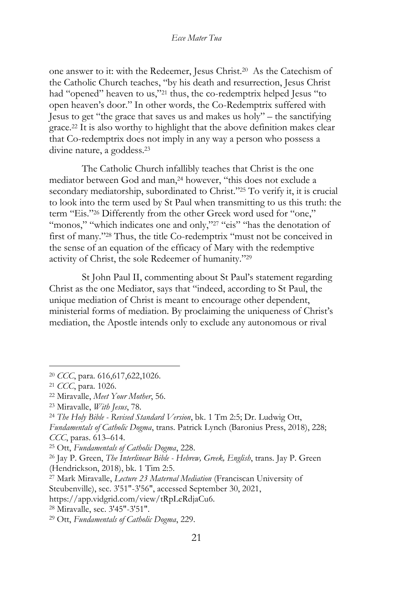one answer to it: with the Redeemer, Jesus Christ.<sup>20</sup> As the Catechism of the Catholic Church teaches, "by his death and resurrection, Jesus Christ had "opened" heaven to us,"<sup>21</sup> thus, the co-redemptrix helped Jesus "to open heaven's door." In other words, the Co-Redemptrix suffered with Jesus to get "the grace that saves us and makes us holy" – the sanctifying grace.<sup>22</sup> It is also worthy to highlight that the above definition makes clear that Co-redemptrix does not imply in any way a person who possess a divine nature, a goddess.<sup>23</sup>

The Catholic Church infallibly teaches that Christ is the one mediator between God and man,<sup>24</sup> however, "this does not exclude a secondary mediatorship, subordinated to Christ."<sup>25</sup> To verify it, it is crucial to look into the term used by St Paul when transmitting to us this truth: the term "Eis." <sup>26</sup> Differently from the other Greek word used for "one," "monos," "which indicates one and only,"<sup>27</sup> "eis" "has the denotation of first of many."<sup>28</sup> Thus, the title Co-redemptrix "must not be conceived in the sense of an equation of the efficacy of Mary with the redemptive activity of Christ, the sole Redeemer of humanity."<sup>29</sup>

St John Paul II, commenting about St Paul's statement regarding Christ as the one Mediator, says that "indeed, according to St Paul, the unique mediation of Christ is meant to encourage other dependent, ministerial forms of mediation. By proclaiming the uniqueness of Christ's mediation, the Apostle intends only to exclude any autonomous or rival

<sup>20</sup> *CCC*, para. 616,617,622,1026.

<sup>21</sup> *CCC*, para. 1026.

<sup>22</sup> Miravalle, *Meet Your Mother*, 56.

<sup>23</sup> Miravalle, *With Jesus*, 78.

<sup>24</sup> *The Holy Bible - Revised Standard Version*, bk. 1 Tm 2:5; Dr. Ludwig Ott,

*Fundamentals of Catholic Dogma*, trans. Patrick Lynch (Baronius Press, 2018), 228; *CCC*, paras. 613–614.

<sup>25</sup> Ott, *Fundamentals of Catholic Dogma*, 228.

<sup>26</sup> Jay P. Green, *The Interlinear Bible - Hebrew, Greek, English*, trans. Jay P. Green (Hendrickson, 2018), bk. 1 Tim 2:5.

<sup>27</sup> Mark Miravalle, *Lecture 23 Maternal Mediation* (Franciscan University of Steubenville), sec. 3'51"-3'56", accessed September 30, 2021,

https://app.vidgrid.com/view/tRpLeRdjaCu6.

<sup>28</sup> Miravalle, sec. 3'45"-3'51".

<sup>29</sup> Ott, *Fundamentals of Catholic Dogma*, 229.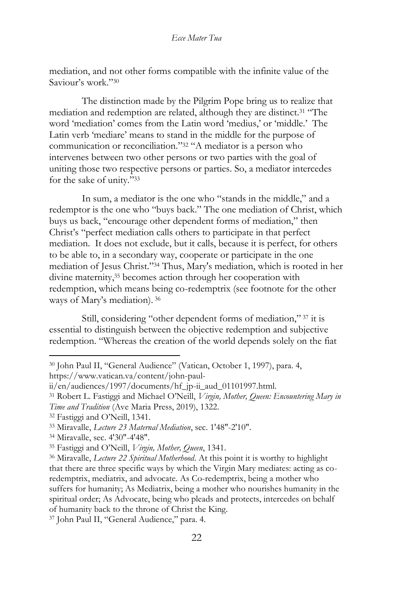mediation, and not other forms compatible with the infinite value of the Saviour's work."<sup>30</sup>

The distinction made by the Pilgrim Pope bring us to realize that mediation and redemption are related, although they are distinct.<sup>31</sup> "The word 'mediation' comes from the Latin word 'medius,' or 'middle.' The Latin verb 'mediare' means to stand in the middle for the purpose of communication or reconciliation."<sup>32</sup> "A mediator is a person who intervenes between two other persons or two parties with the goal of uniting those two respective persons or parties. So, a mediator intercedes for the sake of unity." 33

In sum, a mediator is the one who "stands in the middle," and a redemptor is the one who "buys back." The one mediation of Christ, which buys us back, "encourage other dependent forms of mediation," then Christ's "perfect mediation calls others to participate in that perfect mediation. It does not exclude, but it calls, because it is perfect, for others to be able to, in a secondary way, cooperate or participate in the one mediation of Jesus Christ."<sup>34</sup> Thus, Mary's mediation, which is rooted in her divine maternity,<sup>35</sup> becomes action through her cooperation with redemption, which means being co-redemptrix (see footnote for the other ways of Mary's mediation). <sup>36</sup>

Still, considering "other dependent forms of mediation," <sup>37</sup> it is essential to distinguish between the objective redemption and subjective redemption. "Whereas the creation of the world depends solely on the fiat

https://www.vatican.va/content/john-paul-

<sup>32</sup> Fastiggi and O'Neill, 1341.

<sup>34</sup> Miravalle, sec. 4'30"-4'48".

<sup>37</sup> John Paul II, "General Audience," para. 4.

<sup>30</sup> John Paul II, "General Audience" (Vatican, October 1, 1997), para. 4,

ii/en/audiences/1997/documents/hf\_jp-ii\_aud\_01101997.html.

<sup>31</sup> Robert L. Fastiggi and Michael O'Neill, *Virgin, Mother, Queen: Encountering Mary in Time and Tradition* (Ave Maria Press, 2019), 1322.

<sup>33</sup> Miravalle, *Lecture 23 Maternal Mediation*, sec. 1'48"-2'10".

<sup>35</sup> Fastiggi and O'Neill, *Virgin, Mother, Queen*, 1341.

<sup>36</sup> Miravalle, *Lecture 22 Spiritual Motherhood*. At this point it is worthy to highlight that there are three specific ways by which the Virgin Mary mediates: acting as coredemptrix, mediatrix, and advocate. As Co-redemptrix, being a mother who suffers for humanity; As Mediatrix, being a mother who nourishes humanity in the spiritual order; As Advocate, being who pleads and protects, intercedes on behalf of humanity back to the throne of Christ the King.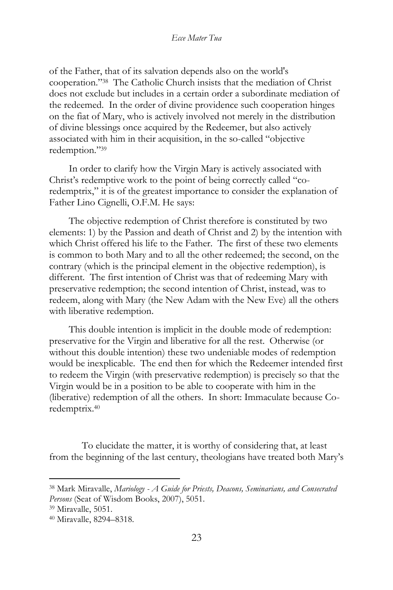of the Father, that of its salvation depends also on the world's cooperation."<sup>38</sup> The Catholic Church insists that the mediation of Christ does not exclude but includes in a certain order a subordinate mediation of the redeemed. In the order of divine providence such cooperation hinges on the fiat of Mary, who is actively involved not merely in the distribution of divine blessings once acquired by the Redeemer, but also actively associated with him in their acquisition, in the so-called "objective redemption."<sup>39</sup>

In order to clarify how the Virgin Mary is actively associated with Christ's redemptive work to the point of being correctly called "coredemptrix," it is of the greatest importance to consider the explanation of Father Lino Cignelli, O.F.M. He says:

The objective redemption of Christ therefore is constituted by two elements: 1) by the Passion and death of Christ and 2) by the intention with which Christ offered his life to the Father. The first of these two elements is common to both Mary and to all the other redeemed; the second, on the contrary (which is the principal element in the objective redemption), is different. The first intention of Christ was that of redeeming Mary with preservative redemption; the second intention of Christ, instead, was to redeem, along with Mary (the New Adam with the New Eve) all the others with liberative redemption.

This double intention is implicit in the double mode of redemption: preservative for the Virgin and liberative for all the rest. Otherwise (or without this double intention) these two undeniable modes of redemption would be inexplicable. The end then for which the Redeemer intended first to redeem the Virgin (with preservative redemption) is precisely so that the Virgin would be in a position to be able to cooperate with him in the (liberative) redemption of all the others. In short: Immaculate because Coredemptrix.<sup>40</sup>

To elucidate the matter, it is worthy of considering that, at least from the beginning of the last century, theologians have treated both Mary's

<sup>38</sup> Mark Miravalle, *Mariology - A Guide for Priests, Deacons, Seminarians, and Consecrated Persons* (Seat of Wisdom Books, 2007), 5051.

<sup>39</sup> Miravalle, 5051.

<sup>40</sup> Miravalle, 8294–8318.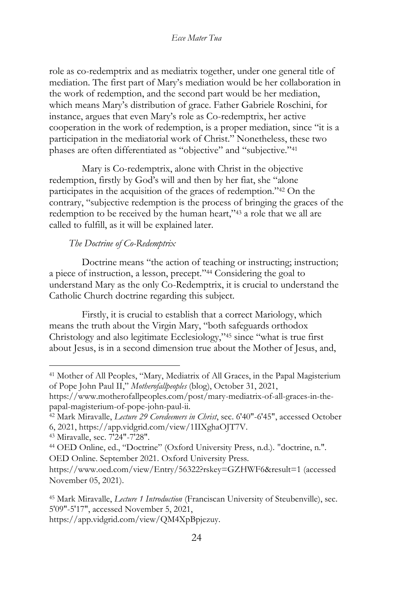role as co-redemptrix and as mediatrix together, under one general title of mediation. The first part of Mary's mediation would be her collaboration in the work of redemption, and the second part would be her mediation, which means Mary's distribution of grace. Father Gabriele Roschini, for instance, argues that even Mary's role as Co-redemptrix, her active cooperation in the work of redemption, is a proper mediation, since "it is a participation in the mediatorial work of Christ." Nonetheless, these two phases are often differentiated as "objective" and "subjective."<sup>41</sup>

Mary is Co-redemptrix, alone with Christ in the objective redemption, firstly by God's will and then by her fiat, she "alone participates in the acquisition of the graces of redemption."<sup>42</sup> On the contrary, "subjective redemption is the process of bringing the graces of the redemption to be received by the human heart,"<sup>43</sup> a role that we all are called to fulfill, as it will be explained later.

## *The Doctrine of Co-Redemptrix*

Doctrine means "the action of teaching or instructing; instruction; a piece of instruction, a lesson, precept."<sup>44</sup> Considering the goal to understand Mary as the only Co-Redemptrix, it is crucial to understand the Catholic Church doctrine regarding this subject.

Firstly, it is crucial to establish that a correct Mariology, which means the truth about the Virgin Mary, "both safeguards orthodox Christology and also legitimate Ecclesiology,"<sup>45</sup> since "what is true first about Jesus, is in a second dimension true about the Mother of Jesus, and,

https://app.vidgrid.com/view/QM4XpBpjezuy.

<sup>41</sup> Mother of All Peoples, "Mary, Mediatrix of All Graces, in the Papal Magisterium of Pope John Paul II," *Motherofallpeoples* (blog), October 31, 2021,

https://www.motherofallpeoples.com/post/mary-mediatrix-of-all-graces-in-thepapal-magisterium-of-pope-john-paul-ii.

<sup>42</sup> Mark Miravalle, *Lecture 29 Coredeemers in Christ*, sec. 6'40"-6'45", accessed October 6, 2021, https://app.vidgrid.com/view/1IIXghaOJT7V.

<sup>43</sup> Miravalle, sec. 7'24"-7'28".

<sup>44</sup> OED Online, ed., "Doctrine" (Oxford University Press, n.d.). "doctrine, n.". OED Online. September 2021. Oxford University Press.

https://www.oed.com/view/Entry/56322?rskey=GZHWF6&result=1 (accessed November 05, 2021).

<sup>45</sup> Mark Miravalle, *Lecture 1 Introduction* (Franciscan University of Steubenville), sec. 5'09"-5'17", accessed November 5, 2021,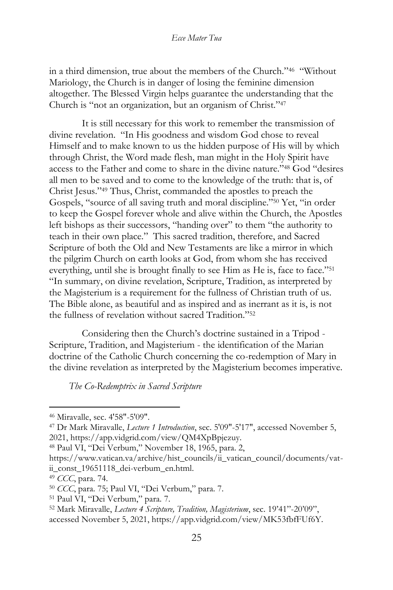in a third dimension, true about the members of the Church."<sup>46</sup> "Without Mariology, the Church is in danger of losing the feminine dimension altogether. The Blessed Virgin helps guarantee the understanding that the Church is "not an organization, but an organism of Christ."<sup>47</sup>

It is still necessary for this work to remember the transmission of divine revelation. "In His goodness and wisdom God chose to reveal Himself and to make known to us the hidden purpose of His will by which through Christ, the Word made flesh, man might in the Holy Spirit have access to the Father and come to share in the divine nature."<sup>48</sup> God "desires all men to be saved and to come to the knowledge of the truth: that is, of Christ Jesus."<sup>49</sup> Thus, Christ, commanded the apostles to preach the Gospels, "source of all saving truth and moral discipline."<sup>50</sup> Yet, "in order to keep the Gospel forever whole and alive within the Church, the Apostles left bishops as their successors, "handing over" to them "the authority to teach in their own place." This sacred tradition, therefore, and Sacred Scripture of both the Old and New Testaments are like a mirror in which the pilgrim Church on earth looks at God, from whom she has received everything, until she is brought finally to see Him as He is, face to face."<sup>51</sup> "In summary, on divine revelation, Scripture, Tradition, as interpreted by the Magisterium is a requirement for the fullness of Christian truth of us. The Bible alone, as beautiful and as inspired and as inerrant as it is, is not the fullness of revelation without sacred Tradition."<sup>52</sup>

Considering then the Church's doctrine sustained in a Tripod - Scripture, Tradition, and Magisterium - the identification of the Marian doctrine of the Catholic Church concerning the co-redemption of Mary in the divine revelation as interpreted by the Magisterium becomes imperative.

*The Co-Redemptrix in Sacred Scripture*

<sup>46</sup> Miravalle, sec. 4'58"-5'09".

<sup>47</sup> Dr Mark Miravalle, *Lecture 1 Introduction*, sec. 5'09"-5'17", accessed November 5, 2021, https://app.vidgrid.com/view/QM4XpBpjezuy.

<sup>48</sup> Paul VI, "Dei Verbum," November 18, 1965, para. 2,

https://www.vatican.va/archive/hist\_councils/ii\_vatican\_council/documents/vatii\_const\_19651118\_dei-verbum\_en.html.

<sup>49</sup> *CCC*, para. 74.

<sup>50</sup> *CCC*, para. 75; Paul VI, "Dei Verbum," para. 7.

<sup>51</sup> Paul VI, "Dei Verbum," para. 7.

<sup>52</sup> Mark Miravalle, *Lecture 4 Scripture, Tradition, Magisterium*, sec. 19'41"-20'09", accessed November 5, 2021, https://app.vidgrid.com/view/MK53fbfFUf6Y.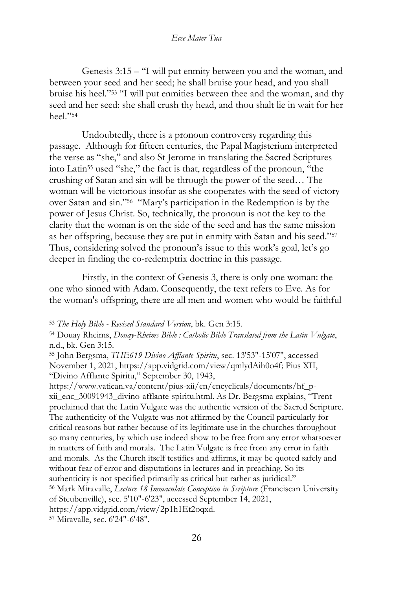Genesis 3:15 – "I will put enmity between you and the woman, and between your seed and her seed; he shall bruise your head, and you shall bruise his heel."<sup>53</sup> "I will put enmities between thee and the woman, and thy seed and her seed: she shall crush thy head, and thou shalt lie in wait for her heel."<sup>54</sup>

Undoubtedly, there is a pronoun controversy regarding this passage. Although for fifteen centuries, the Papal Magisterium interpreted the verse as "she," and also St Jerome in translating the Sacred Scriptures into Latin<sup>55</sup> used "she," the fact is that, regardless of the pronoun, "the crushing of Satan and sin will be through the power of the seed… The woman will be victorious insofar as she cooperates with the seed of victory over Satan and sin."<sup>56</sup> "Mary's participation in the Redemption is by the power of Jesus Christ. So, technically, the pronoun is not the key to the clarity that the woman is on the side of the seed and has the same mission as her offspring, because they are put in enmity with Satan and his seed."<sup>57</sup> Thus, considering solved the pronoun's issue to this work's goal, let's go deeper in finding the co-redemptrix doctrine in this passage.

Firstly, in the context of Genesis 3, there is only one woman: the one who sinned with Adam. Consequently, the text refers to Eve. As for the woman's offspring, there are all men and women who would be faithful

https://www.vatican.va/content/pius-xii/en/encyclicals/documents/hf\_pxii\_enc\_30091943\_divino-afflante-spiritu.html. As Dr. Bergsma explains, "Trent proclaimed that the Latin Vulgate was the authentic version of the Sacred Scripture. The authenticity of the Vulgate was not affirmed by the Council particularly for critical reasons but rather because of its legitimate use in the churches throughout so many centuries, by which use indeed show to be free from any error whatsoever in matters of faith and morals. The Latin Vulgate is free from any error in faith and morals. As the Church itself testifies and affirms, it may be quoted safely and without fear of error and disputations in lectures and in preaching. So its authenticity is not specified primarily as critical but rather as juridical."

<sup>53</sup> *The Holy Bible - Revised Standard Version*, bk. Gen 3:15.

<sup>54</sup> Douay Rheims, *Douay-Rheims Bible : Catholic Bible Translated from the Latin Vulgate*, n.d., bk. Gen 3:15.

<sup>55</sup> John Bergsma, *THE619 Divino Afflante Spiritu*, sec. 13'53"-15'07", accessed November 1, 2021, https://app.vidgrid.com/view/qmlydAih0o4f; Pius XII, "Divino Afflante Spiritu," September 30, 1943,

<sup>56</sup> Mark Miravalle, *Lecture 18 Immaculate Conception in Scripture* (Franciscan University of Steubenville), sec. 5'10"-6'23", accessed September 14, 2021,

https://app.vidgrid.com/view/2p1h1Et2oqxd.

<sup>57</sup> Miravalle, sec. 6'24"-6'48".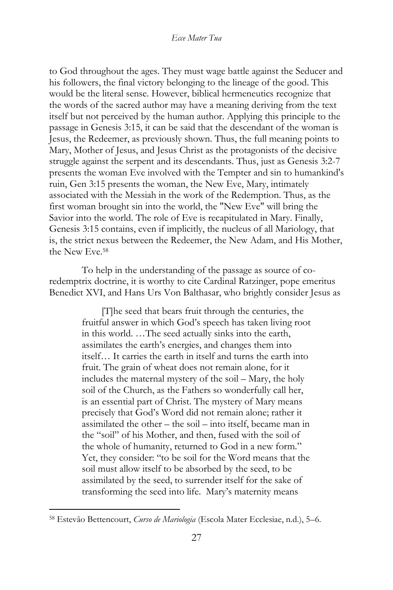to God throughout the ages. They must wage battle against the Seducer and his followers, the final victory belonging to the lineage of the good. This would be the literal sense. However, biblical hermeneutics recognize that the words of the sacred author may have a meaning deriving from the text itself but not perceived by the human author. Applying this principle to the passage in Genesis 3:15, it can be said that the descendant of the woman is Jesus, the Redeemer, as previously shown. Thus, the full meaning points to Mary, Mother of Jesus, and Jesus Christ as the protagonists of the decisive struggle against the serpent and its descendants. Thus, just as Genesis 3:2-7 presents the woman Eve involved with the Tempter and sin to humankind's ruin, Gen 3:15 presents the woman, the New Eve, Mary, intimately associated with the Messiah in the work of the Redemption. Thus, as the first woman brought sin into the world, the "New Eve" will bring the Savior into the world. The role of Eve is recapitulated in Mary. Finally, Genesis 3:15 contains, even if implicitly, the nucleus of all Mariology, that is, the strict nexus between the Redeemer, the New Adam, and His Mother, the New Eve.<sup>58</sup>

To help in the understanding of the passage as source of coredemptrix doctrine, it is worthy to cite Cardinal Ratzinger, pope emeritus Benedict XVI, and Hans Urs Von Balthasar, who brightly consider Jesus as

> [T]he seed that bears fruit through the centuries, the fruitful answer in which God's speech has taken living root in this world. …The seed actually sinks into the earth, assimilates the earth's energies, and changes them into itself… It carries the earth in itself and turns the earth into fruit. The grain of wheat does not remain alone, for it includes the maternal mystery of the soil – Mary, the holy soil of the Church, as the Fathers so wonderfully call her, is an essential part of Christ. The mystery of Mary means precisely that God's Word did not remain alone; rather it assimilated the other – the soil – into itself, became man in the "soil" of his Mother, and then, fused with the soil of the whole of humanity, returned to God in a new form." Yet, they consider: "to be soil for the Word means that the soil must allow itself to be absorbed by the seed, to be assimilated by the seed, to surrender itself for the sake of transforming the seed into life. Mary's maternity means

<sup>58</sup> Estevão Bettencourt, *Curso de Mariologia* (Escola Mater Ecclesiae, n.d.), 5–6.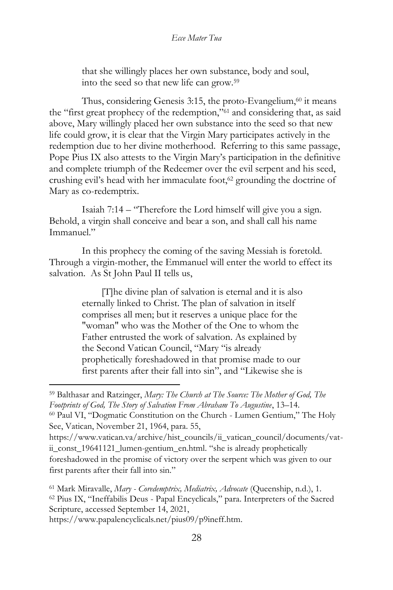that she willingly places her own substance, body and soul, into the seed so that new life can grow.<sup>59</sup>

Thus, considering Genesis  $3:15$ , the proto-Evangelium, $60$  it means the "first great prophecy of the redemption,"<sup>61</sup> and considering that, as said above, Mary willingly placed her own substance into the seed so that new life could grow, it is clear that the Virgin Mary participates actively in the redemption due to her divine motherhood. Referring to this same passage, Pope Pius IX also attests to the Virgin Mary's participation in the definitive and complete triumph of the Redeemer over the evil serpent and his seed, crushing evil's head with her immaculate foot,<sup>62</sup> grounding the doctrine of Mary as co-redemptrix.

Isaiah 7:14 – "Therefore the Lord himself will give you a sign. Behold, a virgin shall conceive and bear a son, and shall call his name Immanuel."

In this prophecy the coming of the saving Messiah is foretold. Through a virgin-mother, the Emmanuel will enter the world to effect its salvation. As St John Paul II tells us,

> [T]he divine plan of salvation is eternal and it is also eternally linked to Christ. The plan of salvation in itself comprises all men; but it reserves a unique place for the "woman" who was the Mother of the One to whom the Father entrusted the work of salvation. As explained by the Second Vatican Council, "Mary "is already prophetically foreshadowed in that promise made to our first parents after their fall into sin", and "Likewise she is

See, Vatican, November 21, 1964, para. 55,

https://www.papalencyclicals.net/pius09/p9ineff.htm.

<sup>59</sup> Balthasar and Ratzinger, *Mary: The Church at The Source: The Mother of God, The Footprints of God, The Story of Salvation From Abraham To Augustine*, 13–14. <sup>60</sup> Paul VI, "Dogmatic Constitution on the Church - Lumen Gentium," The Holy

https://www.vatican.va/archive/hist\_councils/ii\_vatican\_council/documents/vatii\_const\_19641121\_lumen-gentium\_en.html. "she is already prophetically foreshadowed in the promise of victory over the serpent which was given to our first parents after their fall into sin."

<sup>61</sup> Mark Miravalle, *Mary - Coredemptrix, Mediatrix, Advocate* (Queenship, n.d.), 1. <sup>62</sup> Pius IX, "Ineffabilis Deus - Papal Encyclicals," para. Interpreters of the Sacred Scripture, accessed September 14, 2021,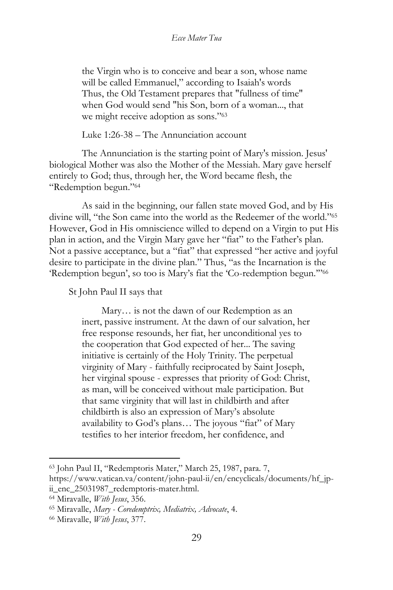the Virgin who is to conceive and bear a son, whose name will be called Emmanuel," according to Isaiah's words Thus, the Old Testament prepares that "fullness of time" when God would send "his Son, born of a woman..., that we might receive adoption as sons."<sup>63</sup>

Luke 1:26-38 – The Annunciation account

The Annunciation is the starting point of Mary's mission. Jesus' biological Mother was also the Mother of the Messiah. Mary gave herself entirely to God; thus, through her, the Word became flesh, the "Redemption begun."<sup>64</sup>

As said in the beginning, our fallen state moved God, and by His divine will, "the Son came into the world as the Redeemer of the world."<sup>65</sup> However, God in His omniscience willed to depend on a Virgin to put His plan in action, and the Virgin Mary gave her "fiat" to the Father's plan. Not a passive acceptance, but a "fiat" that expressed "her active and joyful desire to participate in the divine plan." Thus, "as the Incarnation is the 'Redemption begun', so too is Mary's fiat the 'Co-redemption begun.'"<sup>66</sup>

St John Paul II says that

Mary… is not the dawn of our Redemption as an inert, passive instrument. At the dawn of our salvation, her free response resounds, her fiat, her unconditional yes to the cooperation that God expected of her... The saving initiative is certainly of the Holy Trinity. The perpetual virginity of Mary - faithfully reciprocated by Saint Joseph, her virginal spouse - expresses that priority of God: Christ, as man, will be conceived without male participation. But that same virginity that will last in childbirth and after childbirth is also an expression of Mary's absolute availability to God's plans… The joyous "fiat" of Mary testifies to her interior freedom, her confidence, and

<sup>63</sup> John Paul II, "Redemptoris Mater," March 25, 1987, para. 7,

https://www.vatican.va/content/john-paul-ii/en/encyclicals/documents/hf\_jpii\_enc\_25031987\_redemptoris-mater.html.

<sup>64</sup> Miravalle, *With Jesus*, 356.

<sup>65</sup> Miravalle, *Mary - Coredemptrix, Mediatrix, Advocate*, 4.

<sup>66</sup> Miravalle, *With Jesus*, 377.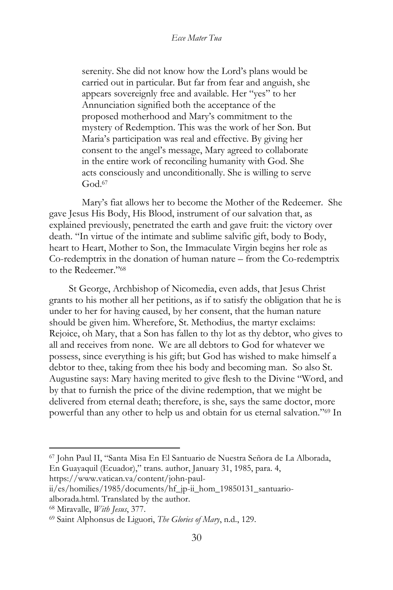serenity. She did not know how the Lord's plans would be carried out in particular. But far from fear and anguish, she appears sovereignly free and available. Her "yes" to her Annunciation signified both the acceptance of the proposed motherhood and Mary's commitment to the mystery of Redemption. This was the work of her Son. But Maria's participation was real and effective. By giving her consent to the angel's message, Mary agreed to collaborate in the entire work of reconciling humanity with God. She acts consciously and unconditionally. She is willing to serve God.<sup>67</sup>

Mary's fiat allows her to become the Mother of the Redeemer. She gave Jesus His Body, His Blood, instrument of our salvation that, as explained previously, penetrated the earth and gave fruit: the victory over death. "In virtue of the intimate and sublime salvific gift, body to Body, heart to Heart, Mother to Son, the Immaculate Virgin begins her role as Co-redemptrix in the donation of human nature – from the Co-redemptrix to the Redeemer."<sup>68</sup>

St George, Archbishop of Nicomedia, even adds, that Jesus Christ grants to his mother all her petitions, as if to satisfy the obligation that he is under to her for having caused, by her consent, that the human nature should be given him. Wherefore, St. Methodius, the martyr exclaims: Rejoice, oh Mary, that a Son has fallen to thy lot as thy debtor, who gives to all and receives from none. We are all debtors to God for whatever we possess, since everything is his gift; but God has wished to make himself a debtor to thee, taking from thee his body and becoming man. So also St. Augustine says: Mary having merited to give flesh to the Divine "Word, and by that to furnish the price of the divine redemption, that we might be delivered from eternal death; therefore, is she, says the same doctor, more powerful than any other to help us and obtain for us eternal salvation."<sup>69</sup> In

https://www.vatican.va/content/john-paul-

<sup>67</sup> John Paul II, "Santa Misa En El Santuario de Nuestra Señora de La Alborada, En Guayaquil (Ecuador)," trans. author, January 31, 1985, para. 4,

ii/es/homilies/1985/documents/hf\_jp-ii\_hom\_19850131\_santuario-

alborada.html. Translated by the author.

<sup>68</sup> Miravalle, *With Jesus*, 377.

<sup>69</sup> Saint Alphonsus de Liguori, *The Glories of Mary*, n.d., 129.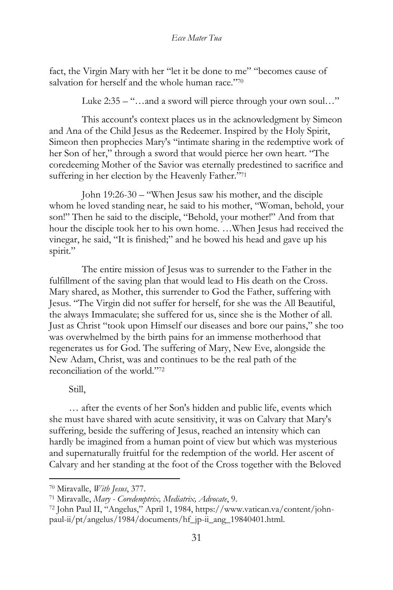fact, the Virgin Mary with her "let it be done to me" "becomes cause of salvation for herself and the whole human race."70

Luke  $2:35 -$ "...and a sword will pierce through your own soul..."

This account's context places us in the acknowledgment by Simeon and Ana of the Child Jesus as the Redeemer. Inspired by the Holy Spirit, Simeon then prophecies Mary's "intimate sharing in the redemptive work of her Son of her," through a sword that would pierce her own heart. "The coredeeming Mother of the Savior was eternally predestined to sacrifice and suffering in her election by the Heavenly Father."<sup>71</sup>

John 19:26-30 – "When Jesus saw his mother, and the disciple whom he loved standing near, he said to his mother, "Woman, behold, your son!" Then he said to the disciple, "Behold, your mother!" And from that hour the disciple took her to his own home. …When Jesus had received the vinegar, he said, "It is finished;" and he bowed his head and gave up his spirit."

The entire mission of Jesus was to surrender to the Father in the fulfillment of the saving plan that would lead to His death on the Cross. Mary shared, as Mother, this surrender to God the Father, suffering with Jesus. "The Virgin did not suffer for herself, for she was the All Beautiful, the always Immaculate; she suffered for us, since she is the Mother of all. Just as Christ "took upon Himself our diseases and bore our pains," she too was overwhelmed by the birth pains for an immense motherhood that regenerates us for God. The suffering of Mary, New Eve, alongside the New Adam, Christ, was and continues to be the real path of the reconciliation of the world."<sup>72</sup>

## Still,

… after the events of her Son's hidden and public life, events which she must have shared with acute sensitivity, it was on Calvary that Mary's suffering, beside the suffering of Jesus, reached an intensity which can hardly be imagined from a human point of view but which was mysterious and supernaturally fruitful for the redemption of the world. Her ascent of Calvary and her standing at the foot of the Cross together with the Beloved

<sup>70</sup> Miravalle, *With Jesus*, 377.

<sup>71</sup> Miravalle, *Mary - Coredemptrix, Mediatrix, Advocate*, 9.

<sup>72</sup> John Paul II, "Angelus," April 1, 1984, https://www.vatican.va/content/johnpaul-ii/pt/angelus/1984/documents/hf\_jp-ii\_ang\_19840401.html.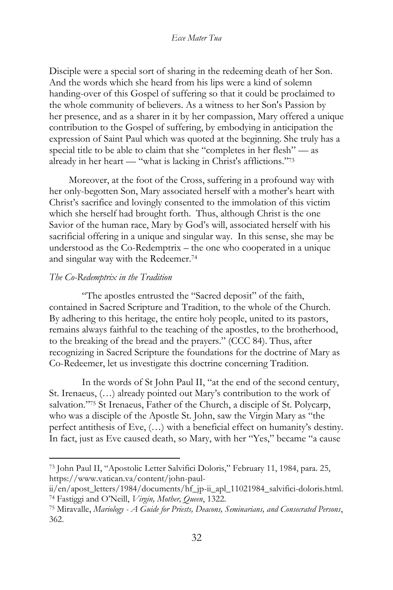Disciple were a special sort of sharing in the redeeming death of her Son. And the words which she heard from his lips were a kind of solemn handing-over of this Gospel of suffering so that it could be proclaimed to the whole community of believers. As a witness to her Son's Passion by her presence, and as a sharer in it by her compassion, Mary offered a unique contribution to the Gospel of suffering, by embodying in anticipation the expression of Saint Paul which was quoted at the beginning. She truly has a special title to be able to claim that she "completes in her flesh" — as already in her heart — "what is lacking in Christ's afflictions." 73

Moreover, at the foot of the Cross, suffering in a profound way with her only-begotten Son, Mary associated herself with a mother's heart with Christ's sacrifice and lovingly consented to the immolation of this victim which she herself had brought forth. Thus, although Christ is the one Savior of the human race, Mary by God's will, associated herself with his sacrificial offering in a unique and singular way. In this sense, she may be understood as the Co-Redemptrix – the one who cooperated in a unique and singular way with the Redeemer.<sup>74</sup>

## *The Co-Redemptrix in the Tradition*

"The apostles entrusted the "Sacred deposit" of the faith, contained in Sacred Scripture and Tradition, to the whole of the Church. By adhering to this heritage, the entire holy people, united to its pastors, remains always faithful to the teaching of the apostles, to the brotherhood, to the breaking of the bread and the prayers." (CCC 84). Thus, after recognizing in Sacred Scripture the foundations for the doctrine of Mary as Co-Redeemer, let us investigate this doctrine concerning Tradition.

In the words of St John Paul II, "at the end of the second century, St. Irenaeus, (…) already pointed out Mary's contribution to the work of salvation."<sup>75</sup> St Irenaeus, Father of the Church, a disciple of St. Polycarp, who was a disciple of the Apostle St. John, saw the Virgin Mary as "the perfect antithesis of Eve, (…) with a beneficial effect on humanity's destiny. In fact, just as Eve caused death, so Mary, with her "Yes," became "a cause

<sup>73</sup> John Paul II, "Apostolic Letter Salvifici Doloris," February 11, 1984, para. 25, https://www.vatican.va/content/john-paul-

ii/en/apost\_letters/1984/documents/hf\_jp-ii\_apl\_11021984\_salvifici-doloris.html. <sup>74</sup> Fastiggi and O'Neill, *Virgin, Mother, Queen*, 1322.

<sup>75</sup> Miravalle, *Mariology - A Guide for Priests, Deacons, Seminarians, and Consecrated Persons*, 362.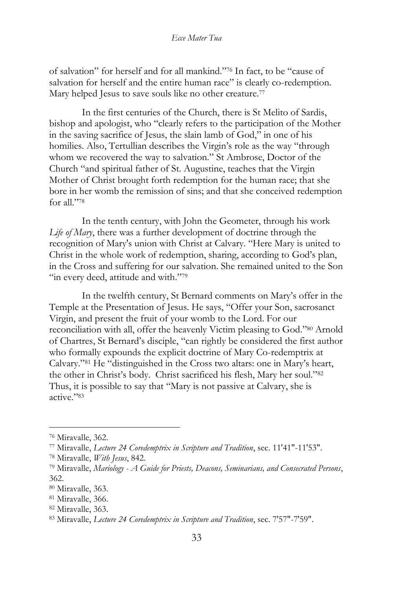of salvation" for herself and for all mankind."<sup>76</sup> In fact, to be "cause of salvation for herself and the entire human race" is clearly co-redemption. Mary helped Jesus to save souls like no other creature.<sup>77</sup>

In the first centuries of the Church, there is St Melito of Sardis, bishop and apologist, who "clearly refers to the participation of the Mother in the saving sacrifice of Jesus, the slain lamb of God," in one of his homilies. Also, Tertullian describes the Virgin's role as the way "through whom we recovered the way to salvation." St Ambrose, Doctor of the Church "and spiritual father of St. Augustine, teaches that the Virgin Mother of Christ brought forth redemption for the human race; that she bore in her womb the remission of sins; and that she conceived redemption for all."<sup>78</sup>

In the tenth century, with John the Geometer, through his work *Life of Mary*, there was a further development of doctrine through the recognition of Mary's union with Christ at Calvary. "Here Mary is united to Christ in the whole work of redemption, sharing, according to God's plan, in the Cross and suffering for our salvation. She remained united to the Son "in every deed, attitude and with."79

In the twelfth century, St Bernard comments on Mary's offer in the Temple at the Presentation of Jesus. He says, "Offer your Son, sacrosanct Virgin, and present the fruit of your womb to the Lord. For our reconciliation with all, offer the heavenly Victim pleasing to God."<sup>80</sup> Arnold of Chartres, St Bernard's disciple, "can rightly be considered the first author who formally expounds the explicit doctrine of Mary Co-redemptrix at Calvary."<sup>81</sup> He "distinguished in the Cross two altars: one in Mary's heart, the other in Christ's body. Christ sacrificed his flesh, Mary her soul."<sup>82</sup> Thus, it is possible to say that "Mary is not passive at Calvary, she is active."<sup>83</sup>

<sup>76</sup> Miravalle, 362.

<sup>77</sup> Miravalle, *Lecture 24 Coredemptrix in Scripture and Tradition*, sec. 11'41"-11'53".

<sup>78</sup> Miravalle, *With Jesus*, 842.

<sup>79</sup> Miravalle, *Mariology - A Guide for Priests, Deacons, Seminarians, and Consecrated Persons*, 362.

<sup>80</sup> Miravalle, 363.

<sup>81</sup> Miravalle, 366.

<sup>82</sup> Miravalle, 363.

<sup>83</sup> Miravalle, *Lecture 24 Coredemptrix in Scripture and Tradition*, sec. 7'57"-7'59".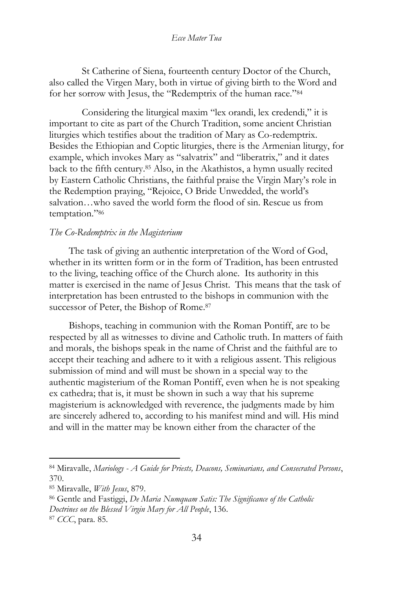St Catherine of Siena, fourteenth century Doctor of the Church, also called the Virgen Mary, both in virtue of giving birth to the Word and for her sorrow with Jesus, the "Redemptrix of the human race."<sup>84</sup>

Considering the liturgical maxim "lex orandi, lex credendi," it is important to cite as part of the Church Tradition, some ancient Christian liturgies which testifies about the tradition of Mary as Co-redemptrix. Besides the Ethiopian and Coptic liturgies, there is the Armenian liturgy, for example, which invokes Mary as "salvatrix" and "liberatrix," and it dates back to the fifth century.<sup>85</sup> Also, in the Akathistos, a hymn usually recited by Eastern Catholic Christians, the faithful praise the Virgin Mary's role in the Redemption praying, "Rejoice, O Bride Unwedded, the world's salvation…who saved the world form the flood of sin. Rescue us from temptation."<sup>86</sup>

## *The Co-Redemptrix in the Magisterium*

The task of giving an authentic interpretation of the Word of God, whether in its written form or in the form of Tradition, has been entrusted to the living, teaching office of the Church alone. Its authority in this matter is exercised in the name of Jesus Christ. This means that the task of interpretation has been entrusted to the bishops in communion with the successor of Peter, the Bishop of Rome.<sup>87</sup>

Bishops, teaching in communion with the Roman Pontiff, are to be respected by all as witnesses to divine and Catholic truth. In matters of faith and morals, the bishops speak in the name of Christ and the faithful are to accept their teaching and adhere to it with a religious assent. This religious submission of mind and will must be shown in a special way to the authentic magisterium of the Roman Pontiff, even when he is not speaking ex cathedra; that is, it must be shown in such a way that his supreme magisterium is acknowledged with reverence, the judgments made by him are sincerely adhered to, according to his manifest mind and will. His mind and will in the matter may be known either from the character of the

<sup>84</sup> Miravalle, *Mariology - A Guide for Priests, Deacons, Seminarians, and Consecrated Persons*, 370.

<sup>85</sup> Miravalle, *With Jesus*, 879.

<sup>86</sup> Gentle and Fastiggi, *De Maria Numquam Satis: The Significance of the Catholic Doctrines on the Blessed Virgin Mary for All People*, 136.

<sup>87</sup> *CCC*, para. 85.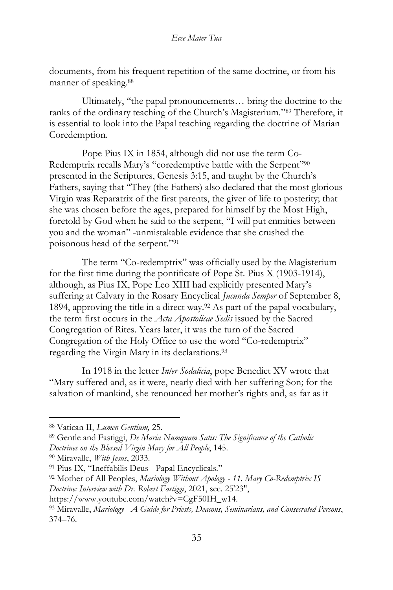documents, from his frequent repetition of the same doctrine, or from his manner of speaking.<sup>88</sup>

Ultimately, "the papal pronouncements… bring the doctrine to the ranks of the ordinary teaching of the Church's Magisterium."<sup>89</sup> Therefore, it is essential to look into the Papal teaching regarding the doctrine of Marian Coredemption.

Pope Pius IX in 1854, although did not use the term Co-Redemptrix recalls Mary's "coredemptive battle with the Serpent"<sup>90</sup> presented in the Scriptures, Genesis 3:15, and taught by the Church's Fathers, saying that "They (the Fathers) also declared that the most glorious Virgin was Reparatrix of the first parents, the giver of life to posterity; that she was chosen before the ages, prepared for himself by the Most High, foretold by God when he said to the serpent, "I will put enmities between you and the woman" -unmistakable evidence that she crushed the poisonous head of the serpent."<sup>91</sup>

The term "Co-redemptrix" was officially used by the Magisterium for the first time during the pontificate of Pope St. Pius X (1903-1914), although, as Pius IX, Pope Leo XIII had explicitly presented Mary's suffering at Calvary in the Rosary Encyclical *Jucunda Semper* of September 8, 1894, approving the title in a direct way.<sup>92</sup> As part of the papal vocabulary, the term first occurs in the *Acta Apostolicae Sedis* issued by the Sacred Congregation of Rites. Years later, it was the turn of the Sacred Congregation of the Holy Office to use the word "Co-redemptrix" regarding the Virgin Mary in its declarations.<sup>93</sup>

In 1918 in the letter *Inter Sodalicia*, pope Benedict XV wrote that "Mary suffered and, as it were, nearly died with her suffering Son; for the salvation of mankind, she renounced her mother's rights and, as far as it

<sup>88</sup> Vatican II, *Lumen Gentium,* 25.

<sup>89</sup> Gentle and Fastiggi, *De Maria Numquam Satis: The Significance of the Catholic Doctrines on the Blessed Virgin Mary for All People*, 145.

<sup>90</sup> Miravalle, *With Jesus*, 2033.

<sup>91</sup> Pius IX, "Ineffabilis Deus - Papal Encyclicals."

<sup>92</sup> Mother of All Peoples, *Mariology Without Apology - 11. Mary Co-Redemptrix IS Doctrine: Interview with Dr. Robert Fastiggi*, 2021, sec. 25'23",

https://www.youtube.com/watch?v=CgF50IH\_w14.

<sup>93</sup> Miravalle, *Mariology - A Guide for Priests, Deacons, Seminarians, and Consecrated Persons*, 374–76.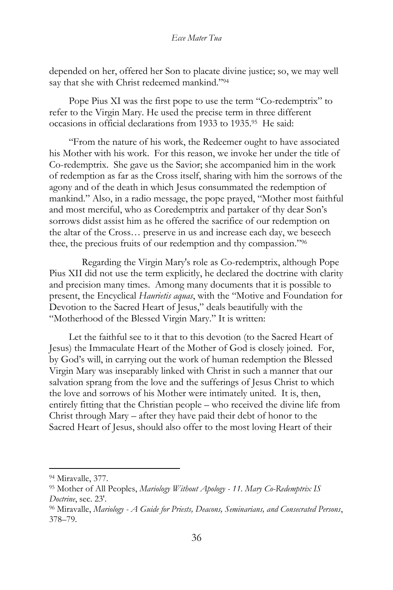depended on her, offered her Son to placate divine justice; so, we may well say that she with Christ redeemed mankind."<sup>94</sup>

Pope Pius XI was the first pope to use the term "Co-redemptrix" to refer to the Virgin Mary. He used the precise term in three different occasions in official declarations from 1933 to 1935.<sup>95</sup> He said:

"From the nature of his work, the Redeemer ought to have associated his Mother with his work. For this reason, we invoke her under the title of Co-redemptrix. She gave us the Savior; she accompanied him in the work of redemption as far as the Cross itself, sharing with him the sorrows of the agony and of the death in which Jesus consummated the redemption of mankind." Also, in a radio message, the pope prayed, "Mother most faithful and most merciful, who as Coredemptrix and partaker of thy dear Son's sorrows didst assist him as he offered the sacrifice of our redemption on the altar of the Cross… preserve in us and increase each day, we beseech thee, the precious fruits of our redemption and thy compassion." 96

Regarding the Virgin Mary's role as Co-redemptrix, although Pope Pius XII did not use the term explicitly, he declared the doctrine with clarity and precision many times. Among many documents that it is possible to present, the Encyclical *Haurietis aquas*, with the "Motive and Foundation for Devotion to the Sacred Heart of Jesus," deals beautifully with the "Motherhood of the Blessed Virgin Mary." It is written:

Let the faithful see to it that to this devotion (to the Sacred Heart of Jesus) the Immaculate Heart of the Mother of God is closely joined. For, by God's will, in carrying out the work of human redemption the Blessed Virgin Mary was inseparably linked with Christ in such a manner that our salvation sprang from the love and the sufferings of Jesus Christ to which the love and sorrows of his Mother were intimately united. It is, then, entirely fitting that the Christian people – who received the divine life from Christ through Mary – after they have paid their debt of honor to the Sacred Heart of Jesus, should also offer to the most loving Heart of their

<sup>94</sup> Miravalle, 377.

<sup>95</sup> Mother of All Peoples, *Mariology Without Apology - 11. Mary Co-Redemptrix IS Doctrine*, sec. 23'.

<sup>96</sup> Miravalle, *Mariology - A Guide for Priests, Deacons, Seminarians, and Consecrated Persons*, 378–79.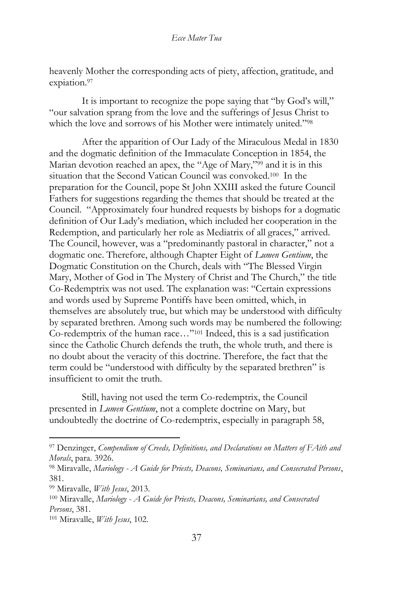heavenly Mother the corresponding acts of piety, affection, gratitude, and expiation.<sup>97</sup>

It is important to recognize the pope saying that "by God's will," "our salvation sprang from the love and the sufferings of Jesus Christ to which the love and sorrows of his Mother were intimately united."<sup>98</sup>

After the apparition of Our Lady of the Miraculous Medal in 1830 and the dogmatic definition of the Immaculate Conception in 1854, the Marian devotion reached an apex, the "Age of Mary,"<sup>99</sup> and it is in this situation that the Second Vatican Council was convoked.<sup>100</sup> In the preparation for the Council, pope St John XXIII asked the future Council Fathers for suggestions regarding the themes that should be treated at the Council. "Approximately four hundred requests by bishops for a dogmatic definition of Our Lady's mediation, which included her cooperation in the Redemption, and particularly her role as Mediatrix of all graces," arrived. The Council, however, was a "predominantly pastoral in character," not a dogmatic one. Therefore, although Chapter Eight of *Lumen Gentium*, the Dogmatic Constitution on the Church, deals with "The Blessed Virgin Mary, Mother of God in The Mystery of Christ and The Church," the title Co-Redemptrix was not used. The explanation was: "Certain expressions and words used by Supreme Pontiffs have been omitted, which, in themselves are absolutely true, but which may be understood with difficulty by separated brethren. Among such words may be numbered the following: Co-redemptrix of the human race…"<sup>101</sup> Indeed, this is a sad justification since the Catholic Church defends the truth, the whole truth, and there is no doubt about the veracity of this doctrine. Therefore, the fact that the term could be "understood with difficulty by the separated brethren" is insufficient to omit the truth.

Still, having not used the term Co-redemptrix, the Council presented in *Lumen Gentium*, not a complete doctrine on Mary, but undoubtedly the doctrine of Co-redemptrix, especially in paragraph 58,

<sup>97</sup> Denzinger, *Compendium of Creeds, Definitions, and Declarations on Matters of FAith and Morals*, para. 3926.

<sup>98</sup> Miravalle, *Mariology - A Guide for Priests, Deacons, Seminarians, and Consecrated Persons*, 381.

<sup>99</sup> Miravalle, *With Jesus*, 2013.

<sup>100</sup> Miravalle, *Mariology - A Guide for Priests, Deacons, Seminarians, and Consecrated Persons*, 381.

<sup>101</sup> Miravalle, *With Jesus*, 102.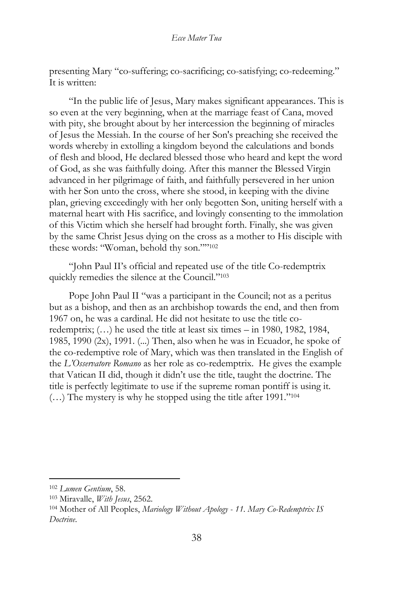presenting Mary "co-suffering; co-sacrificing; co-satisfying; co-redeeming." It is written:

"In the public life of Jesus, Mary makes significant appearances. This is so even at the very beginning, when at the marriage feast of Cana, moved with pity, she brought about by her intercession the beginning of miracles of Jesus the Messiah. In the course of her Son's preaching she received the words whereby in extolling a kingdom beyond the calculations and bonds of flesh and blood, He declared blessed those who heard and kept the word of God, as she was faithfully doing. After this manner the Blessed Virgin advanced in her pilgrimage of faith, and faithfully persevered in her union with her Son unto the cross, where she stood, in keeping with the divine plan, grieving exceedingly with her only begotten Son, uniting herself with a maternal heart with His sacrifice, and lovingly consenting to the immolation of this Victim which she herself had brought forth. Finally, she was given by the same Christ Jesus dying on the cross as a mother to His disciple with these words: "Woman, behold thy son."" 102

"John Paul II's official and repeated use of the title Co-redemptrix quickly remedies the silence at the Council."<sup>103</sup>

Pope John Paul II "was a participant in the Council; not as a peritus but as a bishop, and then as an archbishop towards the end, and then from 1967 on, he was a cardinal. He did not hesitate to use the title coredemptrix; (…) he used the title at least six times – in 1980, 1982, 1984, 1985, 1990  $(2x)$ , 1991.  $(...)$  Then, also when he was in Ecuador, he spoke of the co-redemptive role of Mary, which was then translated in the English of the *L'Osservatore Romano* as her role as co-redemptrix. He gives the example that Vatican II did, though it didn't use the title, taught the doctrine. The title is perfectly legitimate to use if the supreme roman pontiff is using it. (…) The mystery is why he stopped using the title after 1991."<sup>104</sup>

<sup>102</sup> *Lumen Gentium*, 58.

<sup>103</sup> Miravalle, *With Jesus*, 2562.

<sup>104</sup> Mother of All Peoples, *Mariology Without Apology - 11. Mary Co-Redemptrix IS Doctrine*.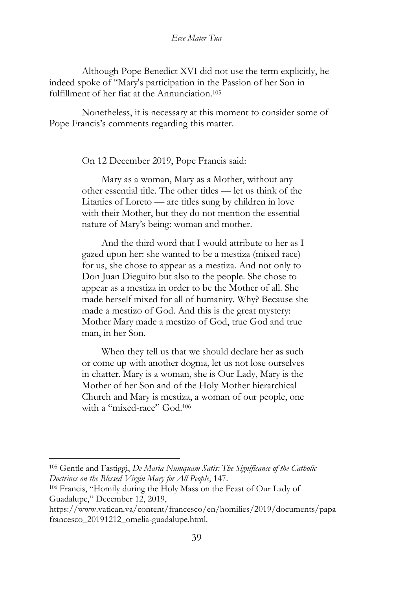Although Pope Benedict XVI did not use the term explicitly, he indeed spoke of "Mary's participation in the Passion of her Son in fulfillment of her fiat at the Annunciation.<sup>105</sup>

Nonetheless, it is necessary at this moment to consider some of Pope Francis's comments regarding this matter.

On 12 December 2019, Pope Francis said:

Mary as a woman, Mary as a Mother, without any other essential title. The other titles — let us think of the Litanies of Loreto — are titles sung by children in love with their Mother, but they do not mention the essential nature of Mary's being: woman and mother.

And the third word that I would attribute to her as I gazed upon her: she wanted to be a mestiza (mixed race) for us, she chose to appear as a mestiza. And not only to Don Juan Dieguito but also to the people. She chose to appear as a mestiza in order to be the Mother of all. She made herself mixed for all of humanity. Why? Because she made a mestizo of God. And this is the great mystery: Mother Mary made a mestizo of God, true God and true man, in her Son.

When they tell us that we should declare her as such or come up with another dogma, let us not lose ourselves in chatter. Mary is a woman, she is Our Lady, Mary is the Mother of her Son and of the Holy Mother hierarchical Church and Mary is mestiza, a woman of our people, one with a "mixed-race" God.<sup>106</sup>

<sup>105</sup> Gentle and Fastiggi, *De Maria Numquam Satis: The Significance of the Catholic Doctrines on the Blessed Virgin Mary for All People*, 147.

<sup>106</sup> Francis, "Homily during the Holy Mass on the Feast of Our Lady of Guadalupe," December 12, 2019,

https://www.vatican.va/content/francesco/en/homilies/2019/documents/papafrancesco\_20191212\_omelia-guadalupe.html.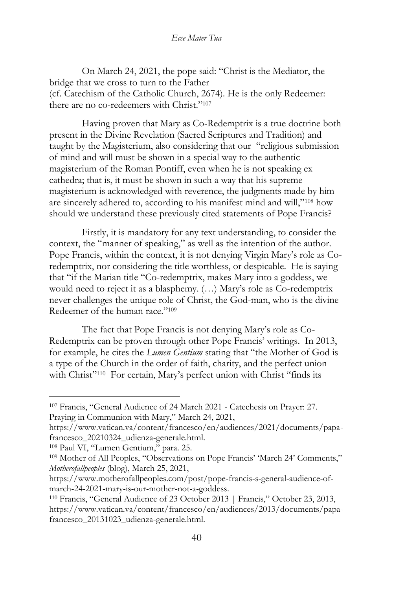On March 24, 2021, the pope said: "Christ is the Mediator, the bridge that we cross to turn to the Father (cf. Catechism of the Catholic Church, 2674). He is the only Redeemer: there are no co-redeemers with Christ."<sup>107</sup>

Having proven that Mary as Co-Redemptrix is a true doctrine both present in the Divine Revelation (Sacred Scriptures and Tradition) and taught by the Magisterium, also considering that our "religious submission of mind and will must be shown in a special way to the authentic magisterium of the Roman Pontiff, even when he is not speaking ex cathedra; that is, it must be shown in such a way that his supreme magisterium is acknowledged with reverence, the judgments made by him are sincerely adhered to, according to his manifest mind and will,"<sup>108</sup> how should we understand these previously cited statements of Pope Francis?

Firstly, it is mandatory for any text understanding, to consider the context, the "manner of speaking," as well as the intention of the author. Pope Francis, within the context, it is not denying Virgin Mary's role as Coredemptrix, nor considering the title worthless, or despicable. He is saying that "if the Marian title "Co-redemptrix, makes Mary into a goddess, we would need to reject it as a blasphemy. (…) Mary's role as Co-redemptrix never challenges the unique role of Christ, the God-man, who is the divine Redeemer of the human race."<sup>109</sup>

The fact that Pope Francis is not denying Mary's role as Co-Redemptrix can be proven through other Pope Francis' writings. In 2013, for example, he cites the *Lumen Gentium* stating that "the Mother of God is a type of the Church in the order of faith, charity, and the perfect union with Christ"<sup>110</sup> For certain, Mary's perfect union with Christ "finds its

<sup>107</sup> Francis, "General Audience of 24 March 2021 - Catechesis on Prayer: 27. Praying in Communion with Mary," March 24, 2021,

https://www.vatican.va/content/francesco/en/audiences/2021/documents/papafrancesco\_20210324\_udienza-generale.html.

<sup>108</sup> Paul VI, "Lumen Gentium," para. 25.

<sup>109</sup> Mother of All Peoples, "Observations on Pope Francis' 'March 24' Comments," *Motherofallpeoples* (blog), March 25, 2021,

https://www.motherofallpeoples.com/post/pope-francis-s-general-audience-ofmarch-24-2021-mary-is-our-mother-not-a-goddess.

<sup>110</sup> Francis, "General Audience of 23 October 2013 | Francis," October 23, 2013, https://www.vatican.va/content/francesco/en/audiences/2013/documents/papafrancesco\_20131023\_udienza-generale.html.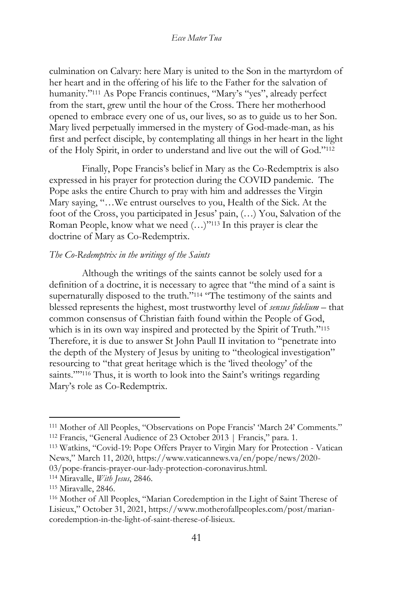culmination on Calvary: here Mary is united to the Son in the martyrdom of her heart and in the offering of his life to the Father for the salvation of humanity."<sup>111</sup> As Pope Francis continues, "Mary's "yes", already perfect from the start, grew until the hour of the Cross. There her motherhood opened to embrace every one of us, our lives, so as to guide us to her Son. Mary lived perpetually immersed in the mystery of God-made-man, as his first and perfect disciple, by contemplating all things in her heart in the light of the Holy Spirit, in order to understand and live out the will of God."<sup>112</sup>

Finally, Pope Francis's belief in Mary as the Co-Redemptrix is also expressed in his prayer for protection during the COVID pandemic. The Pope asks the entire Church to pray with him and addresses the Virgin Mary saying, "…We entrust ourselves to you, Health of the Sick. At the foot of the Cross, you participated in Jesus' pain, (…) You, Salvation of the Roman People, know what we need (…)"<sup>113</sup> In this prayer is clear the doctrine of Mary as Co-Redemptrix.

## *The Co-Redemptrix in the writings of the Saints*

Although the writings of the saints cannot be solely used for a definition of a doctrine, it is necessary to agree that "the mind of a saint is supernaturally disposed to the truth."<sup>114</sup> "The testimony of the saints and blessed represents the highest, most trustworthy level of *sensus fidelium* – that common consensus of Christian faith found within the People of God, which is in its own way inspired and protected by the Spirit of Truth."<sup>115</sup> Therefore, it is due to answer St John Paull II invitation to "penetrate into the depth of the Mystery of Jesus by uniting to "theological investigation" resourcing to "that great heritage which is the 'lived theology' of the saints."" <sup>116</sup> Thus, it is worth to look into the Saint's writings regarding Mary's role as Co-Redemptrix.

03/pope-francis-prayer-our-lady-protection-coronavirus.html.

<sup>114</sup> Miravalle, *With Jesus*, 2846.

<sup>111</sup> Mother of All Peoples, "Observations on Pope Francis' 'March 24' Comments." <sup>112</sup> Francis, "General Audience of 23 October 2013 | Francis," para. 1.

<sup>113</sup> Watkins, "Covid-19: Pope Offers Prayer to Virgin Mary for Protection - Vatican News," March 11, 2020, https://www.vaticannews.va/en/pope/news/2020-

<sup>115</sup> Miravalle, 2846.

<sup>116</sup> Mother of All Peoples, "Marian Coredemption in the Light of Saint Therese of Lisieux," October 31, 2021, https://www.motherofallpeoples.com/post/mariancoredemption-in-the-light-of-saint-therese-of-lisieux.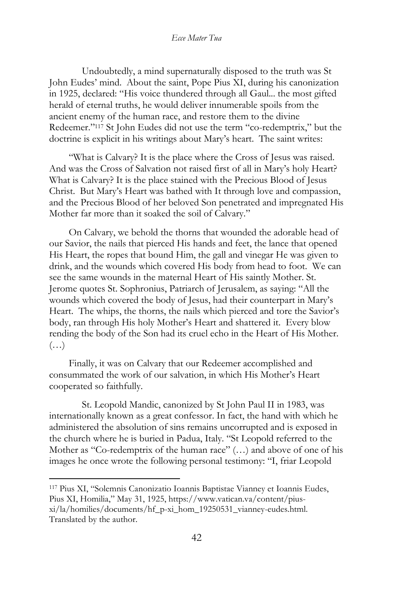Undoubtedly, a mind supernaturally disposed to the truth was St John Eudes' mind. About the saint, Pope Pius XI, during his canonization in 1925, declared: "His voice thundered through all Gaul... the most gifted herald of eternal truths, he would deliver innumerable spoils from the ancient enemy of the human race, and restore them to the divine Redeemer."<sup>117</sup> St John Eudes did not use the term "co-redemptrix," but the doctrine is explicit in his writings about Mary's heart. The saint writes:

"What is Calvary? It is the place where the Cross of Jesus was raised. And was the Cross of Salvation not raised first of all in Mary's holy Heart? What is Calvary? It is the place stained with the Precious Blood of Jesus Christ. But Mary's Heart was bathed with It through love and compassion, and the Precious Blood of her beloved Son penetrated and impregnated His Mother far more than it soaked the soil of Calvary."

On Calvary, we behold the thorns that wounded the adorable head of our Savior, the nails that pierced His hands and feet, the lance that opened His Heart, the ropes that bound Him, the gall and vinegar He was given to drink, and the wounds which covered His body from head to foot. We can see the same wounds in the maternal Heart of His saintly Mother. St. Jerome quotes St. Sophronius, Patriarch of Jerusalem, as saying: "All the wounds which covered the body of Jesus, had their counterpart in Mary's Heart. The whips, the thorns, the nails which pierced and tore the Savior's body, ran through His holy Mother's Heart and shattered it. Every blow rending the body of the Son had its cruel echo in the Heart of His Mother.  $(\ldots)$ 

Finally, it was on Calvary that our Redeemer accomplished and consummated the work of our salvation, in which His Mother's Heart cooperated so faithfully.

St. Leopold Mandic, canonized by St John Paul II in 1983, was internationally known as a great confessor. In fact, the hand with which he administered the absolution of sins remains uncorrupted and is exposed in the church where he is buried in Padua, Italy. "St Leopold referred to the Mother as "Co-redemptrix of the human race" (…) and above of one of his images he once wrote the following personal testimony: "I, friar Leopold

<sup>117</sup> Pius XI, "Solemnis Canonizatio Ioannis Baptistae Vianney et Ioannis Eudes, Pius XI, Homilia," May 31, 1925, https://www.vatican.va/content/piusxi/la/homilies/documents/hf\_p-xi\_hom\_19250531\_vianney-eudes.html. Translated by the author.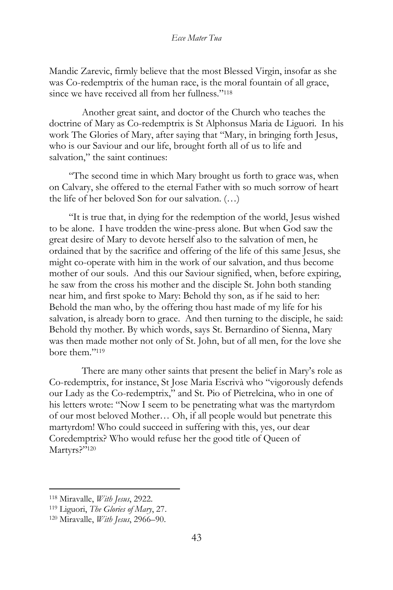Mandic Zarevic, firmly believe that the most Blessed Virgin, insofar as she was Co-redemptrix of the human race, is the moral fountain of all grace, since we have received all from her fullness."<sup>118</sup>

Another great saint, and doctor of the Church who teaches the doctrine of Mary as Co-redemptrix is St Alphonsus Maria de Liguori. In his work The Glories of Mary, after saying that "Mary, in bringing forth Jesus, who is our Saviour and our life, brought forth all of us to life and salvation," the saint continues:

"The second time in which Mary brought us forth to grace was, when on Calvary, she offered to the eternal Father with so much sorrow of heart the life of her beloved Son for our salvation. (…)

"It is true that, in dying for the redemption of the world, Jesus wished to be alone. I have trodden the wine-press alone. But when God saw the great desire of Mary to devote herself also to the salvation of men, he ordained that by the sacrifice and offering of the life of this same Jesus, she might co-operate with him in the work of our salvation, and thus become mother of our souls. And this our Saviour signified, when, before expiring, he saw from the cross his mother and the disciple St. John both standing near him, and first spoke to Mary: Behold thy son, as if he said to her: Behold the man who, by the offering thou hast made of my life for his salvation, is already born to grace. And then turning to the disciple, he said: Behold thy mother. By which words, says St. Bernardino of Sienna, Mary was then made mother not only of St. John, but of all men, for the love she bore them." 119

There are many other saints that present the belief in Mary's role as Co-redemptrix, for instance, St Jose Maria Escrivà who "vigorously defends our Lady as the Co-redemptrix," and St. Pio of Pietrelcina, who in one of his letters wrote: "Now I seem to be penetrating what was the martyrdom of our most beloved Mother… Oh, if all people would but penetrate this martyrdom! Who could succeed in suffering with this, yes, our dear Coredemptrix? Who would refuse her the good title of Queen of Martyrs?"120

<sup>118</sup> Miravalle, *With Jesus*, 2922.

<sup>119</sup> Liguori, *The Glories of Mary*, 27.

<sup>120</sup> Miravalle, *With Jesus*, 2966–90.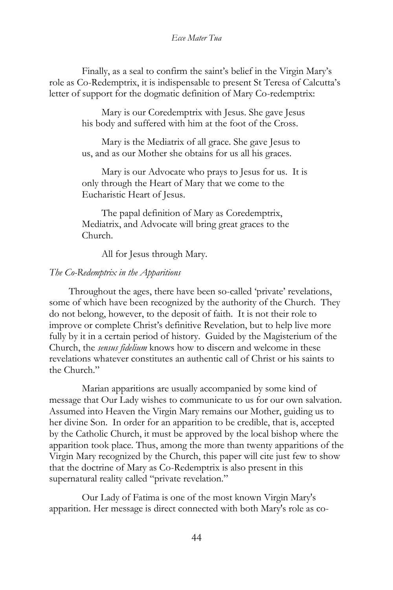Finally, as a seal to confirm the saint's belief in the Virgin Mary's role as Co-Redemptrix, it is indispensable to present St Teresa of Calcutta's letter of support for the dogmatic definition of Mary Co-redemptrix:

> Mary is our Coredemptrix with Jesus. She gave Jesus his body and suffered with him at the foot of the Cross.

Mary is the Mediatrix of all grace. She gave Jesus to us, and as our Mother she obtains for us all his graces.

Mary is our Advocate who prays to Jesus for us. It is only through the Heart of Mary that we come to the Eucharistic Heart of Jesus.

The papal definition of Mary as Coredemptrix, Mediatrix, and Advocate will bring great graces to the Church.

All for Jesus through Mary.

#### *The Co-Redemptrix in the Apparitions*

Throughout the ages, there have been so-called 'private' revelations, some of which have been recognized by the authority of the Church. They do not belong, however, to the deposit of faith. It is not their role to improve or complete Christ's definitive Revelation, but to help live more fully by it in a certain period of history. Guided by the Magisterium of the Church, the *sensus fidelium* knows how to discern and welcome in these revelations whatever constitutes an authentic call of Christ or his saints to the Church."

Marian apparitions are usually accompanied by some kind of message that Our Lady wishes to communicate to us for our own salvation. Assumed into Heaven the Virgin Mary remains our Mother, guiding us to her divine Son. In order for an apparition to be credible, that is, accepted by the Catholic Church, it must be approved by the local bishop where the apparition took place. Thus, among the more than twenty apparitions of the Virgin Mary recognized by the Church, this paper will cite just few to show that the doctrine of Mary as Co-Redemptrix is also present in this supernatural reality called "private revelation."

Our Lady of Fatima is one of the most known Virgin Mary's apparition. Her message is direct connected with both Mary's role as co-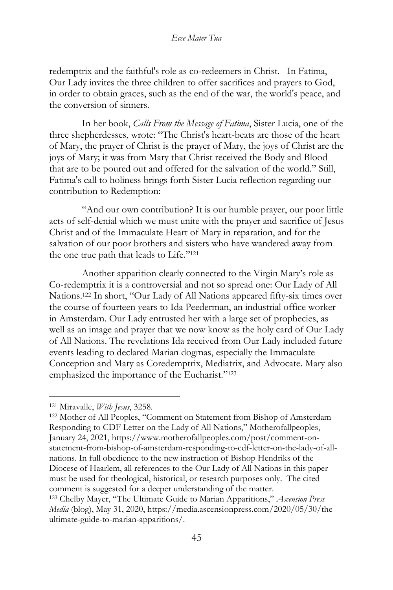redemptrix and the faithful's role as co-redeemers in Christ. In Fatima, Our Lady invites the three children to offer sacrifices and prayers to God, in order to obtain graces, such as the end of the war, the world's peace, and the conversion of sinners.

In her book, *Calls From the Message of Fatima*, Sister Lucia, one of the three shepherdesses, wrote: "The Christ's heart-beats are those of the heart of Mary, the prayer of Christ is the prayer of Mary, the joys of Christ are the joys of Mary; it was from Mary that Christ received the Body and Blood that are to be poured out and offered for the salvation of the world." Still, Fatima's call to holiness brings forth Sister Lucia reflection regarding our contribution to Redemption:

"And our own contribution? It is our humble prayer, our poor little acts of self-denial which we must unite with the prayer and sacrifice of Jesus Christ and of the Immaculate Heart of Mary in reparation, and for the salvation of our poor brothers and sisters who have wandered away from the one true path that leads to Life."<sup>121</sup>

Another apparition clearly connected to the Virgin Mary's role as Co-redemptrix it is a controversial and not so spread one: Our Lady of All Nations.<sup>122</sup> In short, "Our Lady of All Nations appeared fifty-six times over the course of fourteen years to Ida Peederman, an industrial office worker in Amsterdam. Our Lady entrusted her with a large set of prophecies, as well as an image and prayer that we now know as the holy card of Our Lady of All Nations. The revelations Ida received from Our Lady included future events leading to declared Marian dogmas, especially the Immaculate Conception and Mary as Coredemptrix, Mediatrix, and Advocate. Mary also emphasized the importance of the Eucharist."<sup>123</sup>

<sup>121</sup> Miravalle, *With Jesus*, 3258.

<sup>122</sup> Mother of All Peoples, "Comment on Statement from Bishop of Amsterdam Responding to CDF Letter on the Lady of All Nations," Motherofallpeoples, January 24, 2021, https://www.motherofallpeoples.com/post/comment-onstatement-from-bishop-of-amsterdam-responding-to-cdf-letter-on-the-lady-of-allnations. In full obedience to the new instruction of Bishop Hendriks of the Diocese of Haarlem, all references to the Our Lady of All Nations in this paper must be used for theological, historical, or research purposes only. The cited comment is suggested for a deeper understanding of the matter.

<sup>123</sup> Chelby Mayer, "The Ultimate Guide to Marian Apparitions," *Ascension Press Media* (blog), May 31, 2020, https://media.ascensionpress.com/2020/05/30/theultimate-guide-to-marian-apparitions/.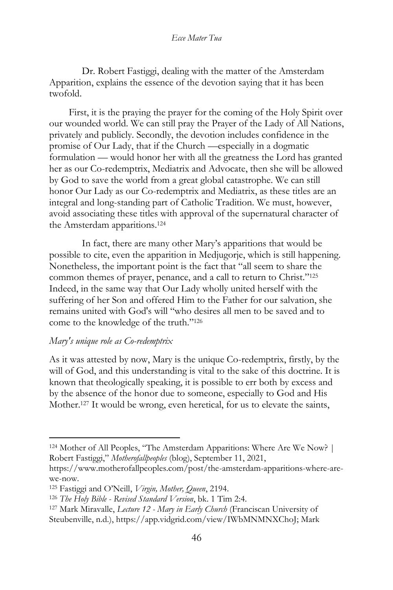Dr. Robert Fastiggi, dealing with the matter of the Amsterdam Apparition, explains the essence of the devotion saying that it has been twofold.

First, it is the praying the prayer for the coming of the Holy Spirit over our wounded world. We can still pray the Prayer of the Lady of All Nations, privately and publicly. Secondly, the devotion includes confidence in the promise of Our Lady, that if the Church —especially in a dogmatic formulation — would honor her with all the greatness the Lord has granted her as our Co-redemptrix, Mediatrix and Advocate, then she will be allowed by God to save the world from a great global catastrophe. We can still honor Our Lady as our Co-redemptrix and Mediatrix, as these titles are an integral and long-standing part of Catholic Tradition. We must, however, avoid associating these titles with approval of the supernatural character of the Amsterdam apparitions.<sup>124</sup>

In fact, there are many other Mary's apparitions that would be possible to cite, even the apparition in Medjugorje, which is still happening. Nonetheless, the important point is the fact that "all seem to share the common themes of prayer, penance, and a call to return to Christ."<sup>125</sup> Indeed, in the same way that Our Lady wholly united herself with the suffering of her Son and offered Him to the Father for our salvation, she remains united with God's will "who desires all men to be saved and to come to the knowledge of the truth."<sup>126</sup>

## *Mary's unique role as Co-redemptrix*

As it was attested by now, Mary is the unique Co-redemptrix, firstly, by the will of God, and this understanding is vital to the sake of this doctrine. It is known that theologically speaking, it is possible to err both by excess and by the absence of the honor due to someone, especially to God and His Mother.<sup>127</sup> It would be wrong, even heretical, for us to elevate the saints,

<sup>124</sup> Mother of All Peoples, "The Amsterdam Apparitions: Where Are We Now? | Robert Fastiggi," *Motherofallpeoples* (blog), September 11, 2021,

https://www.motherofallpeoples.com/post/the-amsterdam-apparitions-where-arewe-now.

<sup>125</sup> Fastiggi and O'Neill, *Virgin, Mother, Queen*, 2194.

<sup>126</sup> *The Holy Bible - Revised Standard Version*, bk. 1 Tim 2:4.

<sup>127</sup> Mark Miravalle, *Lecture 12 - Mary in Early Church* (Franciscan University of

Steubenville, n.d.), https://app.vidgrid.com/view/IWbMNMNXChoJ; Mark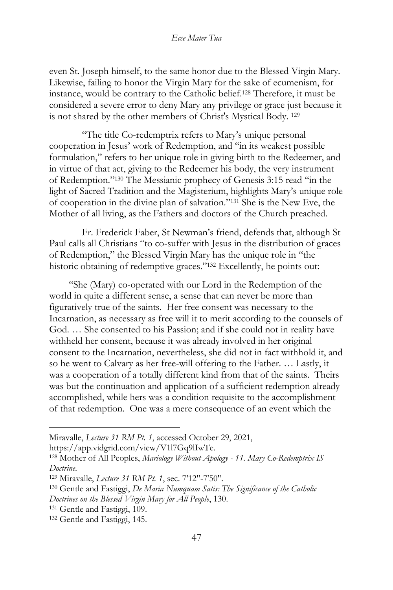even St. Joseph himself, to the same honor due to the Blessed Virgin Mary. Likewise, failing to honor the Virgin Mary for the sake of ecumenism, for instance, would be contrary to the Catholic belief.<sup>128</sup> Therefore, it must be considered a severe error to deny Mary any privilege or grace just because it is not shared by the other members of Christ's Mystical Body. <sup>129</sup>

"The title Co-redemptrix refers to Mary's unique personal cooperation in Jesus' work of Redemption, and "in its weakest possible formulation," refers to her unique role in giving birth to the Redeemer, and in virtue of that act, giving to the Redeemer his body, the very instrument of Redemption."<sup>130</sup> The Messianic prophecy of Genesis 3:15 read "in the light of Sacred Tradition and the Magisterium, highlights Mary's unique role of cooperation in the divine plan of salvation."<sup>131</sup> She is the New Eve, the Mother of all living, as the Fathers and doctors of the Church preached.

Fr. Frederick Faber, St Newman's friend, defends that, although St Paul calls all Christians "to co-suffer with Jesus in the distribution of graces of Redemption," the Blessed Virgin Mary has the unique role in "the historic obtaining of redemptive graces."<sup>132</sup> Excellently, he points out:

"She (Mary) co-operated with our Lord in the Redemption of the world in quite a different sense, a sense that can never be more than figuratively true of the saints. Her free consent was necessary to the Incarnation, as necessary as free will it to merit according to the counsels of God. … She consented to his Passion; and if she could not in reality have withheld her consent, because it was already involved in her original consent to the Incarnation, nevertheless, she did not in fact withhold it, and so he went to Calvary as her free-will offering to the Father. … Lastly, it was a cooperation of a totally different kind from that of the saints. Theirs was but the continuation and application of a sufficient redemption already accomplished, while hers was a condition requisite to the accomplishment of that redemption. One was a mere consequence of an event which the

- *Doctrines on the Blessed Virgin Mary for All People*, 130.
- <sup>131</sup> Gentle and Fastiggi, 109.

Miravalle, *Lecture 31 RM Pt. 1*, accessed October 29, 2021,

https://app.vidgrid.com/view/V1l7Gq9lIwTe.

<sup>128</sup> Mother of All Peoples, *Mariology Without Apology - 11. Mary Co-Redemptrix IS Doctrine*.

<sup>129</sup> Miravalle, *Lecture 31 RM Pt. 1*, sec. 7'12"-7'50".

<sup>130</sup> Gentle and Fastiggi, *De Maria Numquam Satis: The Significance of the Catholic* 

<sup>132</sup> Gentle and Fastiggi, 145.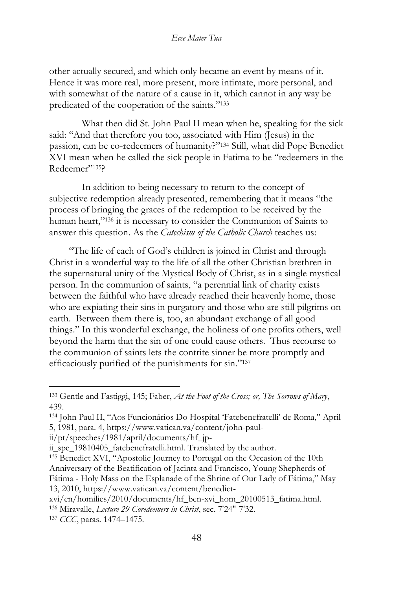other actually secured, and which only became an event by means of it. Hence it was more real, more present, more intimate, more personal, and with somewhat of the nature of a cause in it, which cannot in any way be predicated of the cooperation of the saints."<sup>133</sup>

What then did St. John Paul II mean when he, speaking for the sick said: "And that therefore you too, associated with Him (Jesus) in the passion, can be co-redeemers of humanity?"<sup>134</sup> Still, what did Pope Benedict XVI mean when he called the sick people in Fatima to be "redeemers in the Redeemer"135?

In addition to being necessary to return to the concept of subjective redemption already presented, remembering that it means "the process of bringing the graces of the redemption to be received by the human heart,"<sup>136</sup> it is necessary to consider the Communion of Saints to answer this question. As the *Catechism of the Catholic Church* teaches us:

"The life of each of God's children is joined in Christ and through Christ in a wonderful way to the life of all the other Christian brethren in the supernatural unity of the Mystical Body of Christ, as in a single mystical person. In the communion of saints, "a perennial link of charity exists between the faithful who have already reached their heavenly home, those who are expiating their sins in purgatory and those who are still pilgrims on earth. Between them there is, too, an abundant exchange of all good things." In this wonderful exchange, the holiness of one profits others, well beyond the harm that the sin of one could cause others. Thus recourse to the communion of saints lets the contrite sinner be more promptly and efficaciously purified of the punishments for sin." 137

<sup>133</sup> Gentle and Fastiggi, 145; Faber, *At the Foot of the Cross; or, The Sorrows of Mary*, 439.

<sup>134</sup> John Paul II, "Aos Funcionários Do Hospital 'Fatebenefratelli' de Roma," April 5, 1981, para. 4, https://www.vatican.va/content/john-paul-

ii/pt/speeches/1981/april/documents/hf\_jp-

ii\_spe\_19810405\_fatebenefratelli.html. Translated by the author.

<sup>135</sup> Benedict XVI, "Apostolic Journey to Portugal on the Occasion of the 10th Anniversary of the Beatification of Jacinta and Francisco, Young Shepherds of Fátima - Holy Mass on the Esplanade of the Shrine of Our Lady of Fátima," May 13, 2010, https://www.vatican.va/content/benedict-

xvi/en/homilies/2010/documents/hf\_ben-xvi\_hom\_20100513\_fatima.html.

<sup>136</sup> Miravalle, *Lecture 29 Coredeemers in Christ*, sec. 7'24"-7'32.

<sup>137</sup> *CCC*, paras. 1474–1475.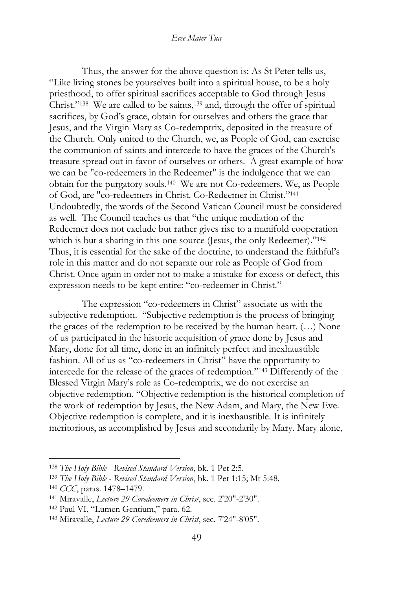Thus, the answer for the above question is: As St Peter tells us, "Like living stones be yourselves built into a spiritual house, to be a holy priesthood, to offer spiritual sacrifices acceptable to God through Jesus Christ."<sup>138</sup> We are called to be saints,<sup>139</sup> and, through the offer of spiritual sacrifices, by God's grace, obtain for ourselves and others the grace that Jesus, and the Virgin Mary as Co-redemptrix, deposited in the treasure of the Church. Only united to the Church, we, as People of God, can exercise the communion of saints and intercede to have the graces of the Church's treasure spread out in favor of ourselves or others. A great example of how we can be "co-redeemers in the Redeemer" is the indulgence that we can obtain for the purgatory souls.<sup>140</sup> We are not Co-redeemers. We, as People of God, are "co-redeemers in Christ. Co-Redeemer in Christ."<sup>141</sup> Undoubtedly, the words of the Second Vatican Council must be considered as well. The Council teaches us that "the unique mediation of the Redeemer does not exclude but rather gives rise to a manifold cooperation which is but a sharing in this one source (Jesus, the only Redeemer)."<sup>142</sup> Thus, it is essential for the sake of the doctrine, to understand the faithful's role in this matter and do not separate our role as People of God from Christ. Once again in order not to make a mistake for excess or defect, this expression needs to be kept entire: "co-redeemer in Christ."

The expression "co-redeemers in Christ" associate us with the subjective redemption. "Subjective redemption is the process of bringing the graces of the redemption to be received by the human heart. (…) None of us participated in the historic acquisition of grace done by Jesus and Mary, done for all time, done in an infinitely perfect and inexhaustible fashion. All of us as "co-redeemers in Christ" have the opportunity to intercede for the release of the graces of redemption."<sup>143</sup> Differently of the Blessed Virgin Mary's role as Co-redemptrix, we do not exercise an objective redemption. "Objective redemption is the historical completion of the work of redemption by Jesus, the New Adam, and Mary, the New Eve. Objective redemption is complete, and it is inexhaustible. It is infinitely meritorious, as accomplished by Jesus and secondarily by Mary. Mary alone,

<sup>138</sup> *The Holy Bible - Revised Standard Version*, bk. 1 Pet 2:5.

<sup>139</sup> *The Holy Bible - Revised Standard Version*, bk. 1 Pet 1:15; Mt 5:48.

<sup>140</sup> *CCC*, paras. 1478–1479.

<sup>141</sup> Miravalle, *Lecture 29 Coredeemers in Christ*, sec. 2'20"-2'30".

<sup>142</sup> Paul VI, "Lumen Gentium," para. 62.

<sup>143</sup> Miravalle, *Lecture 29 Coredeemers in Christ*, sec. 7'24"-8'05".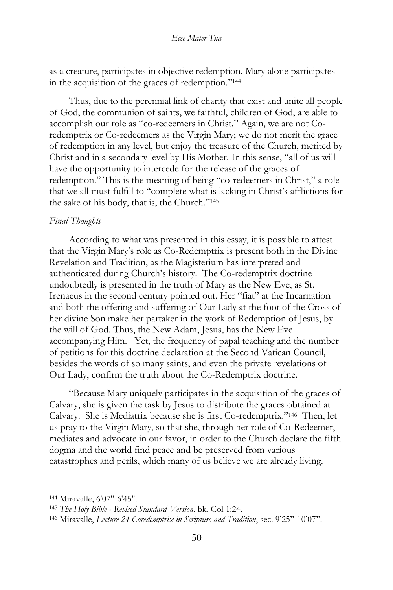as a creature, participates in objective redemption. Mary alone participates in the acquisition of the graces of redemption."<sup>144</sup>

Thus, due to the perennial link of charity that exist and unite all people of God, the communion of saints, we faithful, children of God, are able to accomplish our role as "co-redeemers in Christ." Again, we are not Coredemptrix or Co-redeemers as the Virgin Mary; we do not merit the grace of redemption in any level, but enjoy the treasure of the Church, merited by Christ and in a secondary level by His Mother. In this sense, "all of us will have the opportunity to intercede for the release of the graces of redemption." This is the meaning of being "co-redeemers in Christ," a role that we all must fulfill to "complete what is lacking in Christ's afflictions for the sake of his body, that is, the Church."<sup>145</sup>

#### *Final Thoughts*

According to what was presented in this essay, it is possible to attest that the Virgin Mary's role as Co-Redemptrix is present both in the Divine Revelation and Tradition, as the Magisterium has interpreted and authenticated during Church's history. The Co-redemptrix doctrine undoubtedly is presented in the truth of Mary as the New Eve, as St. Irenaeus in the second century pointed out. Her "fiat" at the Incarnation and both the offering and suffering of Our Lady at the foot of the Cross of her divine Son make her partaker in the work of Redemption of Jesus, by the will of God. Thus, the New Adam, Jesus, has the New Eve accompanying Him. Yet, the frequency of papal teaching and the number of petitions for this doctrine declaration at the Second Vatican Council, besides the words of so many saints, and even the private revelations of Our Lady, confirm the truth about the Co-Redemptrix doctrine.

"Because Mary uniquely participates in the acquisition of the graces of Calvary, she is given the task by Jesus to distribute the graces obtained at Calvary. She is Mediatrix because she is first Co-redemptrix."<sup>146</sup> Then, let us pray to the Virgin Mary, so that she, through her role of Co-Redeemer, mediates and advocate in our favor, in order to the Church declare the fifth dogma and the world find peace and be preserved from various catastrophes and perils, which many of us believe we are already living.

<sup>144</sup> Miravalle, 6'07"-6'45".

<sup>145</sup> *The Holy Bible - Revised Standard Version*, bk. Col 1:24.

<sup>146</sup> Miravalle, *Lecture 24 Coredemptrix in Scripture and Tradition*, sec. 9'25"-10'07".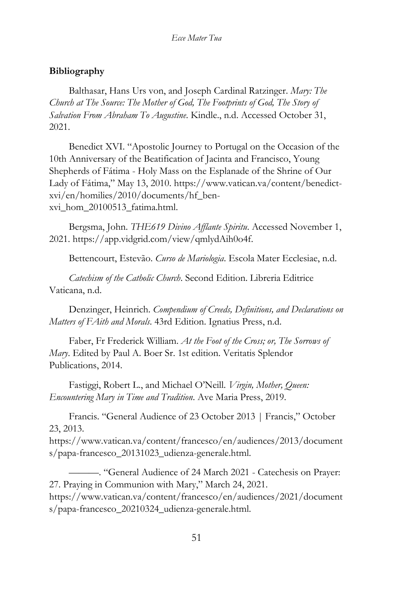# **Bibliography**

Balthasar, Hans Urs von, and Joseph Cardinal Ratzinger. *Mary: The Church at The Source: The Mother of God, The Footprints of God, The Story of Salvation From Abraham To Augustine*. Kindle., n.d. Accessed October 31, 2021.

Benedict XVI. "Apostolic Journey to Portugal on the Occasion of the 10th Anniversary of the Beatification of Jacinta and Francisco, Young Shepherds of Fátima - Holy Mass on the Esplanade of the Shrine of Our Lady of Fátima," May 13, 2010. https://www.vatican.va/content/benedictxvi/en/homilies/2010/documents/hf\_benxvi\_hom\_20100513\_fatima.html.

Bergsma, John. *THE619 Divino Afflante Spiritu*. Accessed November 1, 2021. https://app.vidgrid.com/view/qmlydAih0o4f.

Bettencourt, Estevão. *Curso de Mariologia*. Escola Mater Ecclesiae, n.d.

*Catechism of the Catholic Church*. Second Edition. Libreria Editrice Vaticana, n.d.

Denzinger, Heinrich. *Compendium of Creeds, Definitions, and Declarations on Matters of FAith and Morals*. 43rd Edition. Ignatius Press, n.d.

Faber, Fr Frederick William. *At the Foot of the Cross; or, The Sorrows of Mary*. Edited by Paul A. Boer Sr. 1st edition. Veritatis Splendor Publications, 2014.

Fastiggi, Robert L., and Michael O'Neill. *Virgin, Mother, Queen: Encountering Mary in Time and Tradition*. Ave Maria Press, 2019.

Francis. "General Audience of 23 October 2013 | Francis," October 23, 2013.

https://www.vatican.va/content/francesco/en/audiences/2013/document s/papa-francesco\_20131023\_udienza-generale.html.

———. "General Audience of 24 March 2021 - Catechesis on Prayer: 27. Praying in Communion with Mary," March 24, 2021. https://www.vatican.va/content/francesco/en/audiences/2021/document s/papa-francesco\_20210324\_udienza-generale.html.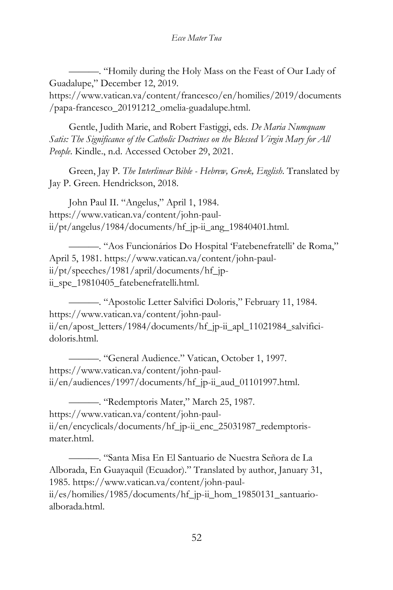———. "Homily during the Holy Mass on the Feast of Our Lady of Guadalupe," December 12, 2019.

https://www.vatican.va/content/francesco/en/homilies/2019/documents /papa-francesco\_20191212\_omelia-guadalupe.html.

Gentle, Judith Marie, and Robert Fastiggi, eds. *De Maria Numquam Satis: The Significance of the Catholic Doctrines on the Blessed Virgin Mary for All People*. Kindle., n.d. Accessed October 29, 2021.

Green, Jay P. *The Interlinear Bible - Hebrew, Greek, English*. Translated by Jay P. Green. Hendrickson, 2018.

John Paul II. "Angelus," April 1, 1984. https://www.vatican.va/content/john-paulii/pt/angelus/1984/documents/hf\_jp-ii\_ang\_19840401.html.

———. "Aos Funcionários Do Hospital 'Fatebenefratelli' de Roma," April 5, 1981. https://www.vatican.va/content/john-paulii/pt/speeches/1981/april/documents/hf\_jpii\_spe\_19810405\_fatebenefratelli.html.

———. "Apostolic Letter Salvifici Doloris," February 11, 1984. https://www.vatican.va/content/john-paulii/en/apost\_letters/1984/documents/hf\_jp-ii\_apl\_11021984\_salvificidoloris.html.

———. "General Audience." Vatican, October 1, 1997. https://www.vatican.va/content/john-paulii/en/audiences/1997/documents/hf\_jp-ii\_aud\_01101997.html.

———. "Redemptoris Mater," March 25, 1987. https://www.vatican.va/content/john-paulii/en/encyclicals/documents/hf\_jp-ii\_enc\_25031987\_redemptorismater html

———. "Santa Misa En El Santuario de Nuestra Señora de La Alborada, En Guayaquil (Ecuador)." Translated by author, January 31, 1985. https://www.vatican.va/content/john-paulii/es/homilies/1985/documents/hf\_jp-ii\_hom\_19850131\_santuarioalborada.html.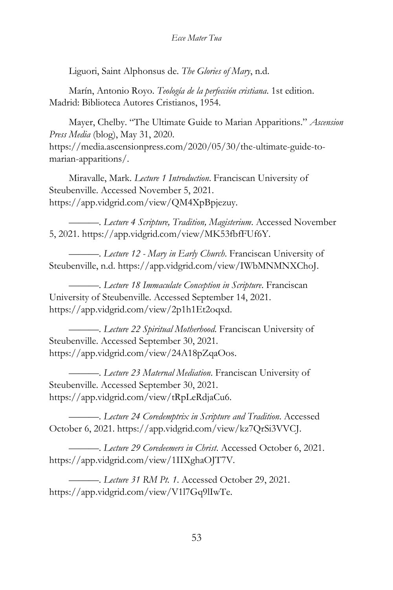Liguori, Saint Alphonsus de. *The Glories of Mary*, n.d.

Marín, Antonio Royo. *Teología de la perfección cristiana*. 1st edition. Madrid: Biblioteca Autores Cristianos, 1954.

Mayer, Chelby. "The Ultimate Guide to Marian Apparitions." *Ascension Press Media* (blog), May 31, 2020. https://media.ascensionpress.com/2020/05/30/the-ultimate-guide-to-

marian-apparitions/.

Miravalle, Mark. *Lecture 1 Introduction*. Franciscan University of Steubenville. Accessed November 5, 2021. https://app.vidgrid.com/view/QM4XpBpjezuy.

———. *Lecture 4 Scripture, Tradition, Magisterium*. Accessed November 5, 2021. https://app.vidgrid.com/view/MK53fbfFUf6Y.

———. *Lecture 12 - Mary in Early Church*. Franciscan University of Steubenville, n.d. https://app.vidgrid.com/view/IWbMNMNXChoJ.

———. *Lecture 18 Immaculate Conception in Scripture*. Franciscan University of Steubenville. Accessed September 14, 2021. https://app.vidgrid.com/view/2p1h1Et2oqxd.

———. *Lecture 22 Spiritual Motherhood*. Franciscan University of Steubenville. Accessed September 30, 2021. https://app.vidgrid.com/view/24A18pZqaOos.

———. *Lecture 23 Maternal Mediation*. Franciscan University of Steubenville. Accessed September 30, 2021. https://app.vidgrid.com/view/tRpLeRdjaCu6.

———. *Lecture 24 Coredemptrix in Scripture and Tradition*. Accessed October 6, 2021. https://app.vidgrid.com/view/kz7QrSi3VVCJ.

———. *Lecture 29 Coredeemers in Christ*. Accessed October 6, 2021. https://app.vidgrid.com/view/1IIXghaOJT7V.

———. *Lecture 31 RM Pt. 1*. Accessed October 29, 2021. https://app.vidgrid.com/view/V1l7Gq9lIwTe.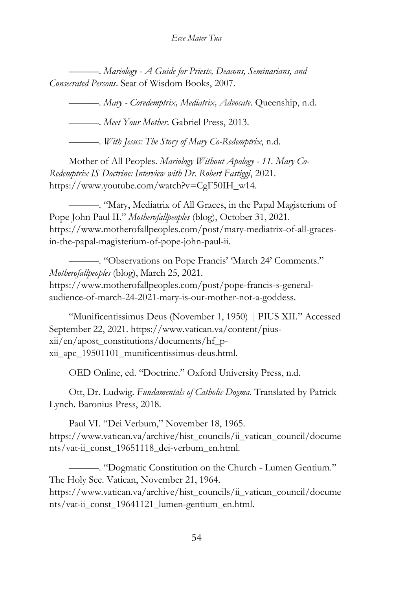———. *Mariology - A Guide for Priests, Deacons, Seminarians, and Consecrated Persons*. Seat of Wisdom Books, 2007.

———. *Mary - Coredemptrix, Mediatrix, Advocate*. Queenship, n.d.

———. *Meet Your Mother*. Gabriel Press, 2013.

———. *With Jesus: The Story of Mary Co-Redemptrix*, n.d.

Mother of All Peoples. *Mariology Without Apology - 11. Mary Co-Redemptrix IS Doctrine: Interview with Dr. Robert Fastiggi*, 2021. https://www.youtube.com/watch?v=CgF50IH\_w14.

———. "Mary, Mediatrix of All Graces, in the Papal Magisterium of Pope John Paul II." *Motherofallpeoples* (blog), October 31, 2021. https://www.motherofallpeoples.com/post/mary-mediatrix-of-all-gracesin-the-papal-magisterium-of-pope-john-paul-ii.

———. "Observations on Pope Francis' 'March 24' Comments." *Motherofallpeoples* (blog), March 25, 2021. https://www.motherofallpeoples.com/post/pope-francis-s-generalaudience-of-march-24-2021-mary-is-our-mother-not-a-goddess.

"Munificentissimus Deus (November 1, 1950) | PIUS XII." Accessed September 22, 2021. https://www.vatican.va/content/piusxii/en/apost\_constitutions/documents/hf\_pxii\_apc\_19501101\_munificentissimus-deus.html.

OED Online, ed. "Doctrine." Oxford University Press, n.d.

Ott, Dr. Ludwig. *Fundamentals of Catholic Dogma*. Translated by Patrick Lynch. Baronius Press, 2018.

Paul VI. "Dei Verbum," November 18, 1965. https://www.vatican.va/archive/hist\_councils/ii\_vatican\_council/docume nts/vat-ii\_const\_19651118\_dei-verbum\_en.html.

———. "Dogmatic Constitution on the Church - Lumen Gentium." The Holy See. Vatican, November 21, 1964.

https://www.vatican.va/archive/hist\_councils/ii\_vatican\_council/docume nts/vat-ii\_const\_19641121\_lumen-gentium\_en.html.